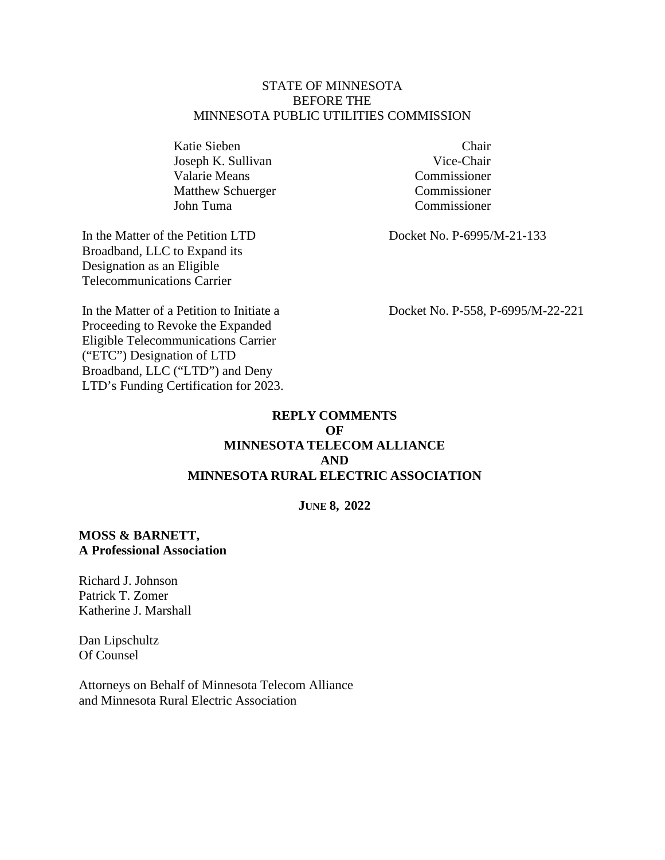#### STATE OF MINNESOTA BEFORE THE MINNESOTA PUBLIC UTILITIES COMMISSION

Katie Sieben Chair Joseph K. Sullivan Vice-Chair Valarie Means Commissioner Matthew Schuerger Commissioner John Tuma Commissioner

In the Matter of the Petition LTD Broadband, LLC to Expand its Designation as an Eligible Telecommunications Carrier

In the Matter of a Petition to Initiate a Proceeding to Revoke the Expanded Eligible Telecommunications Carrier ("ETC") Designation of LTD Broadband, LLC ("LTD") and Deny LTD's Funding Certification for 2023.

Docket No. P-6995/M-21-133

Docket No. P-558, P-6995/M-22-221

# **REPLY COMMENTS OF MINNESOTA TELECOM ALLIANCE AND MINNESOTA RURAL ELECTRIC ASSOCIATION**

**JUNE 8, 2022** 

# **MOSS & BARNETT, A Professional Association**

Richard J. Johnson Patrick T. Zomer Katherine J. Marshall

Dan Lipschultz Of Counsel

Attorneys on Behalf of Minnesota Telecom Alliance and Minnesota Rural Electric Association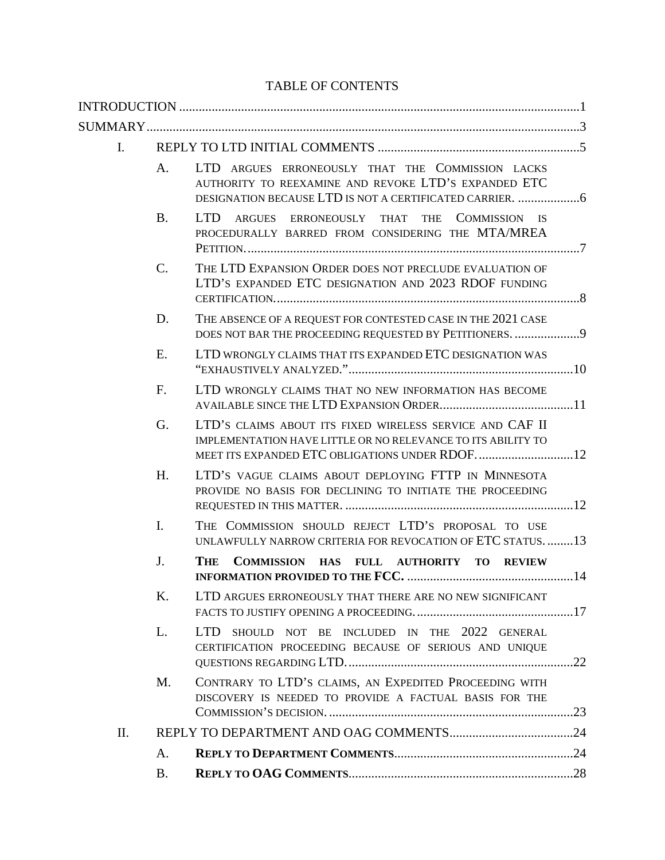# TABLE OF CONTENTS

| Ι. |                |                                                                                                                          |  |
|----|----------------|--------------------------------------------------------------------------------------------------------------------------|--|
|    | A.             | LTD ARGUES ERRONEOUSLY THAT THE COMMISSION LACKS<br>AUTHORITY TO REEXAMINE AND REVOKE LTD'S EXPANDED ETC                 |  |
|    | <b>B.</b>      | <b>LTD</b><br>ARGUES ERRONEOUSLY THAT THE COMMISSION IS<br>PROCEDURALLY BARRED FROM CONSIDERING THE MTA/MREA             |  |
|    | C.             | THE LTD EXPANSION ORDER DOES NOT PRECLUDE EVALUATION OF<br>LTD'S EXPANDED ETC DESIGNATION AND 2023 RDOF FUNDING          |  |
|    | D.             | THE ABSENCE OF A REQUEST FOR CONTESTED CASE IN THE 2021 CASE<br>DOES NOT BAR THE PROCEEDING REQUESTED BY PETITIONERS. 9  |  |
|    | Ε.             | LTD WRONGLY CLAIMS THAT ITS EXPANDED ETC DESIGNATION WAS                                                                 |  |
|    | F.             | LTD WRONGLY CLAIMS THAT NO NEW INFORMATION HAS BECOME                                                                    |  |
|    | G.             | LTD'S CLAIMS ABOUT ITS FIXED WIRELESS SERVICE AND CAF II<br>IMPLEMENTATION HAVE LITTLE OR NO RELEVANCE TO ITS ABILITY TO |  |
|    | H.             | LTD'S VAGUE CLAIMS ABOUT DEPLOYING FTTP IN MINNESOTA<br>PROVIDE NO BASIS FOR DECLINING TO INITIATE THE PROCEEDING        |  |
|    | $\mathbf{I}$ . | THE COMMISSION SHOULD REJECT LTD'S PROPOSAL TO USE<br>UNLAWFULLY NARROW CRITERIA FOR REVOCATION OF ETC STATUS13          |  |
|    | J.             | THE<br>COMMISSION HAS FULL AUTHORITY TO REVIEW                                                                           |  |
|    | Κ.             | LTD ARGUES ERRONEOUSLY THAT THERE ARE NO NEW SIGNIFICANT                                                                 |  |
|    | L.             | <b>LTD</b><br>SHOULD NOT BE INCLUDED IN THE 2022 GENERAL<br>CERTIFICATION PROCEEDING BECAUSE OF SERIOUS AND UNIQUE       |  |
|    | M.             | CONTRARY TO LTD'S CLAIMS, AN EXPEDITED PROCEEDING WITH<br>DISCOVERY IS NEEDED TO PROVIDE A FACTUAL BASIS FOR THE         |  |
| Π. |                |                                                                                                                          |  |
|    | A.             |                                                                                                                          |  |
|    | <b>B.</b>      |                                                                                                                          |  |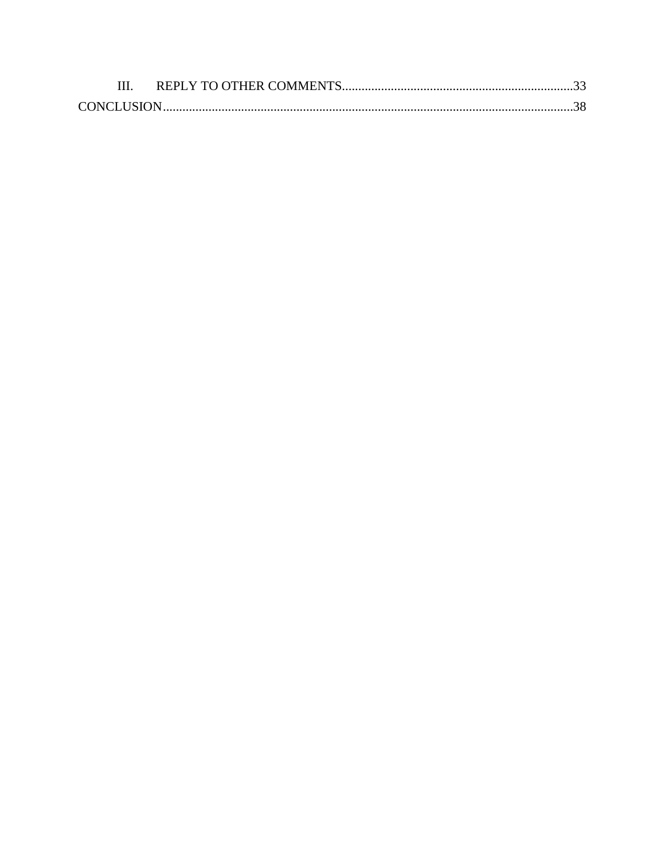| <b>CONCLUSION</b> |  |
|-------------------|--|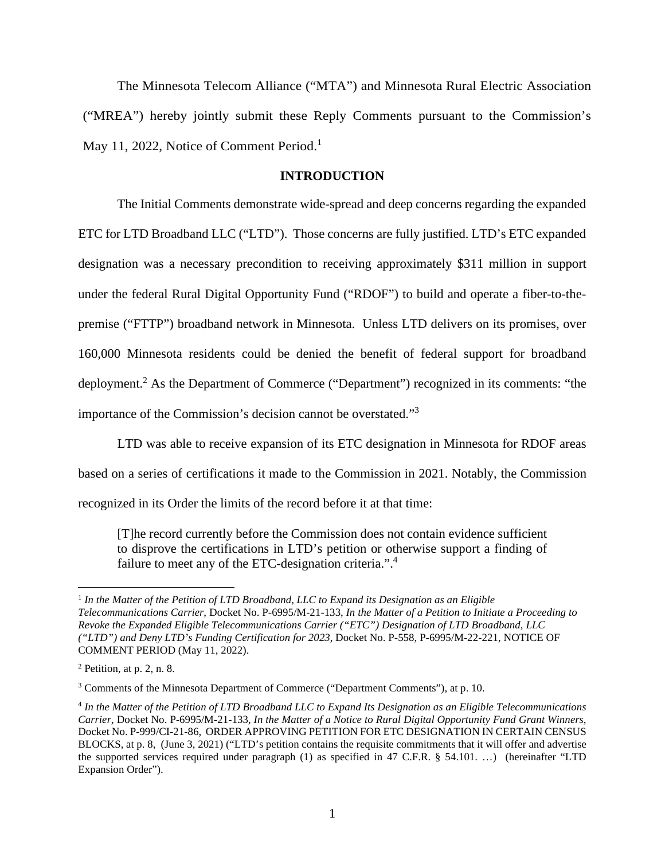The Minnesota Telecom Alliance ("MTA") and Minnesota Rural Electric Association ("MREA") hereby jointly submit these Reply Comments pursuant to the Commission's May 11, 2022, Notice of Comment Period.<sup>1</sup>

### **INTRODUCTION**

The Initial Comments demonstrate wide-spread and deep concerns regarding the expanded ETC for LTD Broadband LLC ("LTD"). Those concerns are fully justified. LTD's ETC expanded designation was a necessary precondition to receiving approximately \$311 million in support under the federal Rural Digital Opportunity Fund ("RDOF") to build and operate a fiber-to-thepremise ("FTTP") broadband network in Minnesota. Unless LTD delivers on its promises, over 160,000 Minnesota residents could be denied the benefit of federal support for broadband deployment.<sup>2</sup> As the Department of Commerce ("Department") recognized in its comments: "the importance of the Commission's decision cannot be overstated."<sup>3</sup>

LTD was able to receive expansion of its ETC designation in Minnesota for RDOF areas based on a series of certifications it made to the Commission in 2021. Notably, the Commission

recognized in its Order the limits of the record before it at that time:

[T]he record currently before the Commission does not contain evidence sufficient to disprove the certifications in LTD's petition or otherwise support a finding of failure to meet any of the ETC-designation criteria.".<sup>4</sup>

<sup>&</sup>lt;sup>1</sup> In the Matter of the Petition of LTD Broadband, LLC to Expand its Designation as an Eligible *Telecommunications Carrier*, Docket No. P-6995/M-21-133, *In the Matter of a Petition to Initiate a Proceeding to Revoke the Expanded Eligible Telecommunications Carrier ("ETC") Designation of LTD Broadband, LLC ("LTD") and Deny LTD's Funding Certification for 2023*, Docket No. P-558, P-6995/M-22-221, NOTICE OF COMMENT PERIOD (May 11, 2022).

 $<sup>2</sup>$  Petition, at p. 2, n. 8.</sup>

<sup>&</sup>lt;sup>3</sup> Comments of the Minnesota Department of Commerce ("Department Comments"), at p. 10.

<sup>&</sup>lt;sup>4</sup> In the Matter of the Petition of LTD Broadband LLC to Expand Its Designation as an Eligible Telecommunications *Carrier,* Docket No. P-6995/M-21-133*, In the Matter of a Notice to Rural Digital Opportunity Fund Grant Winners,*  Docket No. P-999/CI-21-86, ORDER APPROVING PETITION FOR ETC DESIGNATION IN CERTAIN CENSUS BLOCKS, at p. 8, (June 3, 2021) ("LTD's petition contains the requisite commitments that it will offer and advertise the supported services required under paragraph (1) as specified in 47 C.F.R. § 54.101. …) (hereinafter "LTD Expansion Order").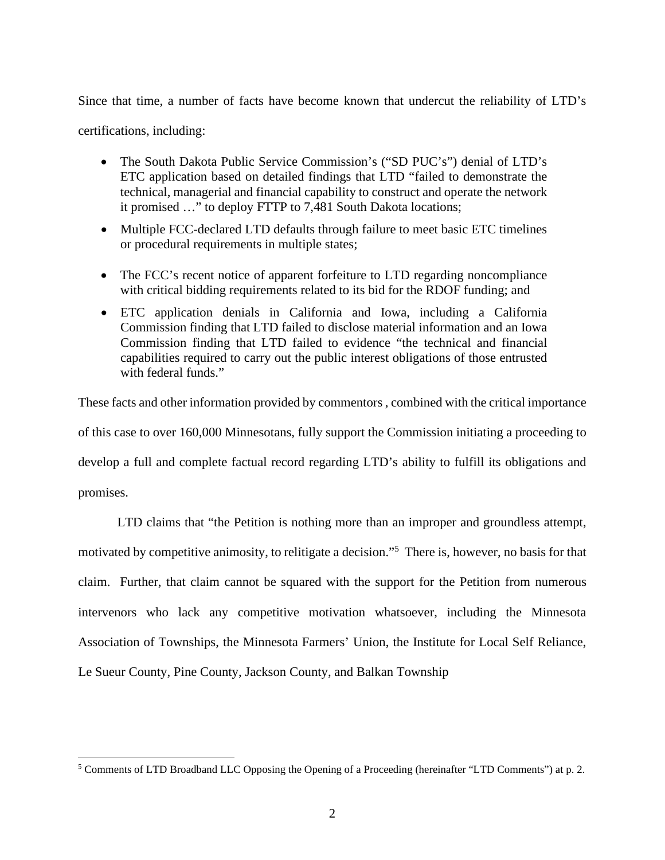Since that time, a number of facts have become known that undercut the reliability of LTD's

certifications, including:

- The South Dakota Public Service Commission's ("SD PUC's") denial of LTD's ETC application based on detailed findings that LTD "failed to demonstrate the technical, managerial and financial capability to construct and operate the network it promised …" to deploy FTTP to 7,481 South Dakota locations;
- Multiple FCC-declared LTD defaults through failure to meet basic ETC timelines or procedural requirements in multiple states;
- The FCC's recent notice of apparent forfeiture to LTD regarding noncompliance with critical bidding requirements related to its bid for the RDOF funding; and
- ETC application denials in California and Iowa, including a California Commission finding that LTD failed to disclose material information and an Iowa Commission finding that LTD failed to evidence "the technical and financial capabilities required to carry out the public interest obligations of those entrusted with federal funds."

These facts and other information provided by commentors , combined with the critical importance of this case to over 160,000 Minnesotans, fully support the Commission initiating a proceeding to develop a full and complete factual record regarding LTD's ability to fulfill its obligations and promises.

LTD claims that "the Petition is nothing more than an improper and groundless attempt, motivated by competitive animosity, to relitigate a decision."<sup>5</sup> There is, however, no basis for that claim. Further, that claim cannot be squared with the support for the Petition from numerous intervenors who lack any competitive motivation whatsoever, including the Minnesota Association of Townships, the Minnesota Farmers' Union, the Institute for Local Self Reliance, Le Sueur County, Pine County, Jackson County, and Balkan Township

<sup>&</sup>lt;sup>5</sup> Comments of LTD Broadband LLC Opposing the Opening of a Proceeding (hereinafter "LTD Comments") at p. 2.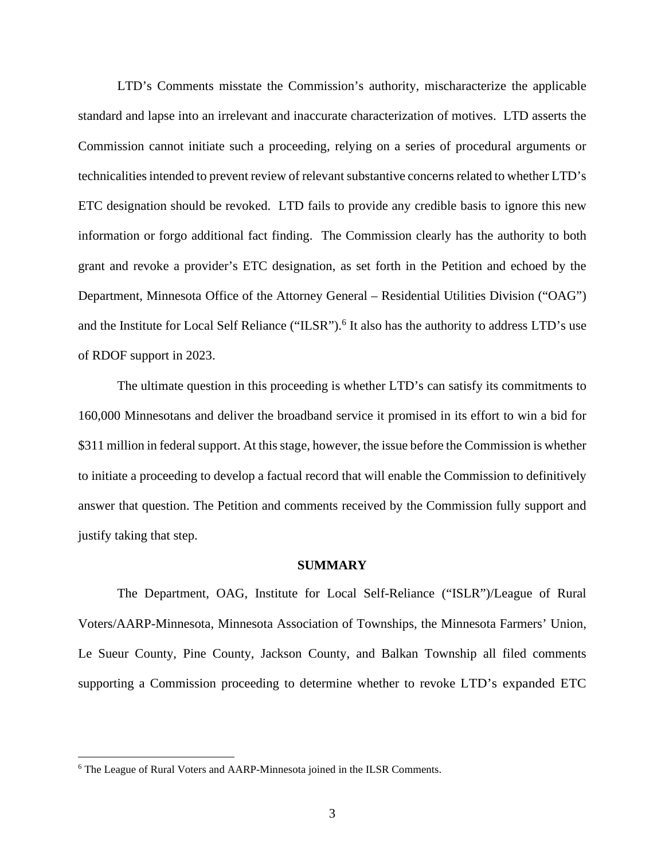LTD's Comments misstate the Commission's authority, mischaracterize the applicable standard and lapse into an irrelevant and inaccurate characterization of motives. LTD asserts the Commission cannot initiate such a proceeding, relying on a series of procedural arguments or technicalities intended to prevent review of relevant substantive concerns related to whether LTD's ETC designation should be revoked. LTD fails to provide any credible basis to ignore this new information or forgo additional fact finding. The Commission clearly has the authority to both grant and revoke a provider's ETC designation, as set forth in the Petition and echoed by the Department, Minnesota Office of the Attorney General – Residential Utilities Division ("OAG") and the Institute for Local Self Reliance ("ILSR").<sup>6</sup> It also has the authority to address LTD's use of RDOF support in 2023.

The ultimate question in this proceeding is whether LTD's can satisfy its commitments to 160,000 Minnesotans and deliver the broadband service it promised in its effort to win a bid for \$311 million in federal support. At this stage, however, the issue before the Commission is whether to initiate a proceeding to develop a factual record that will enable the Commission to definitively answer that question. The Petition and comments received by the Commission fully support and justify taking that step.

#### **SUMMARY**

The Department, OAG, Institute for Local Self-Reliance ("ISLR")/League of Rural Voters/AARP-Minnesota, Minnesota Association of Townships, the Minnesota Farmers' Union, Le Sueur County, Pine County, Jackson County, and Balkan Township all filed comments supporting a Commission proceeding to determine whether to revoke LTD's expanded ETC

<sup>&</sup>lt;sup>6</sup> The League of Rural Voters and AARP-Minnesota joined in the ILSR Comments.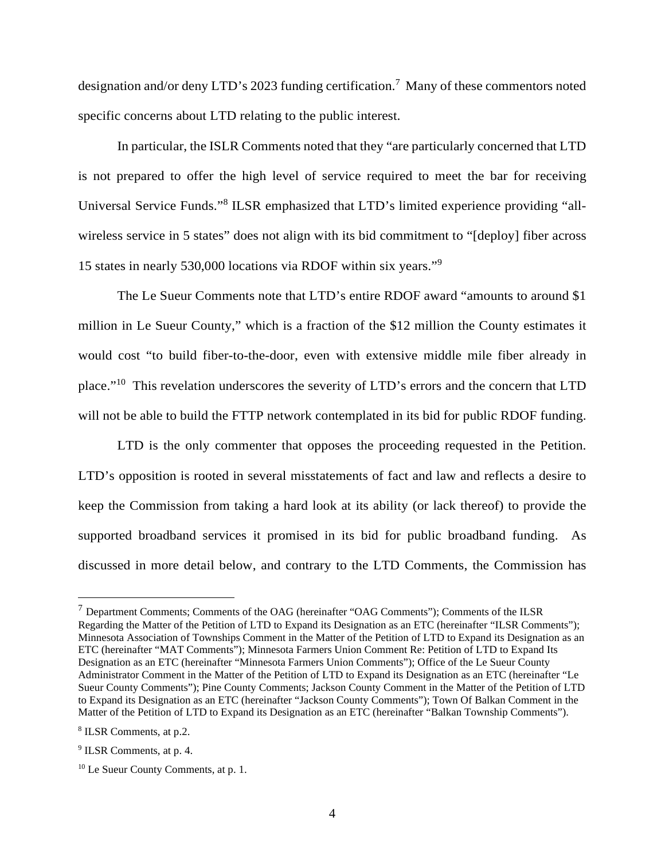designation and/or deny LTD's 2023 funding certification.<sup>7</sup> Many of these commentors noted specific concerns about LTD relating to the public interest.

In particular, the ISLR Comments noted that they "are particularly concerned that LTD is not prepared to offer the high level of service required to meet the bar for receiving Universal Service Funds."<sup>8</sup> ILSR emphasized that LTD's limited experience providing "allwireless service in 5 states" does not align with its bid commitment to "[deploy] fiber across 15 states in nearly 530,000 locations via RDOF within six years."<sup>9</sup>

The Le Sueur Comments note that LTD's entire RDOF award "amounts to around \$1 million in Le Sueur County," which is a fraction of the \$12 million the County estimates it would cost "to build fiber-to-the-door, even with extensive middle mile fiber already in place."<sup>10</sup> This revelation underscores the severity of LTD's errors and the concern that LTD will not be able to build the FTTP network contemplated in its bid for public RDOF funding.

LTD is the only commenter that opposes the proceeding requested in the Petition. LTD's opposition is rooted in several misstatements of fact and law and reflects a desire to keep the Commission from taking a hard look at its ability (or lack thereof) to provide the supported broadband services it promised in its bid for public broadband funding. As discussed in more detail below, and contrary to the LTD Comments, the Commission has

 $<sup>7</sup>$  Department Comments; Comments of the OAG (hereinafter "OAG Comments"); Comments of the ILSR</sup> Regarding the Matter of the Petition of LTD to Expand its Designation as an ETC (hereinafter "ILSR Comments"); Minnesota Association of Townships Comment in the Matter of the Petition of LTD to Expand its Designation as an ETC (hereinafter "MAT Comments"); Minnesota Farmers Union Comment Re: Petition of LTD to Expand Its Designation as an ETC (hereinafter "Minnesota Farmers Union Comments"); Office of the Le Sueur County Administrator Comment in the Matter of the Petition of LTD to Expand its Designation as an ETC (hereinafter "Le Sueur County Comments"); Pine County Comments; Jackson County Comment in the Matter of the Petition of LTD to Expand its Designation as an ETC (hereinafter "Jackson County Comments"); Town Of Balkan Comment in the Matter of the Petition of LTD to Expand its Designation as an ETC (hereinafter "Balkan Township Comments").

<sup>8</sup> ILSR Comments, at p.2.

<sup>&</sup>lt;sup>9</sup> ILSR Comments, at p. 4.

<sup>10</sup> Le Sueur County Comments, at p. 1.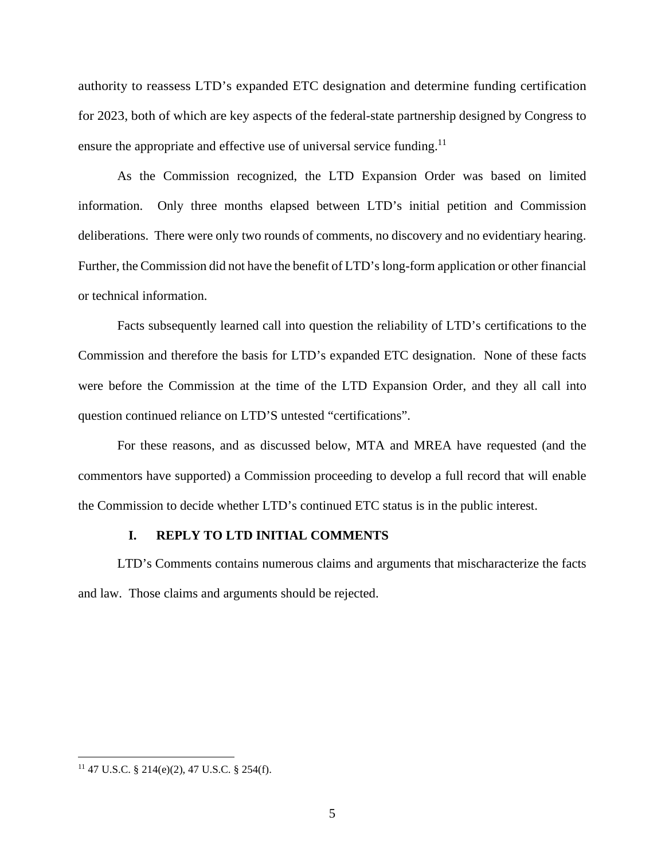authority to reassess LTD's expanded ETC designation and determine funding certification for 2023, both of which are key aspects of the federal-state partnership designed by Congress to ensure the appropriate and effective use of universal service funding.<sup>11</sup>

As the Commission recognized, the LTD Expansion Order was based on limited information. Only three months elapsed between LTD's initial petition and Commission deliberations. There were only two rounds of comments, no discovery and no evidentiary hearing. Further, the Commission did not have the benefit of LTD's long-form application or other financial or technical information.

Facts subsequently learned call into question the reliability of LTD's certifications to the Commission and therefore the basis for LTD's expanded ETC designation. None of these facts were before the Commission at the time of the LTD Expansion Order, and they all call into question continued reliance on LTD'S untested "certifications".

For these reasons, and as discussed below, MTA and MREA have requested (and the commentors have supported) a Commission proceeding to develop a full record that will enable the Commission to decide whether LTD's continued ETC status is in the public interest.

#### **I. REPLY TO LTD INITIAL COMMENTS**

LTD's Comments contains numerous claims and arguments that mischaracterize the facts and law. Those claims and arguments should be rejected.

<sup>11</sup> 47 U.S.C. § 214(e)(2), 47 U.S.C. § 254(f).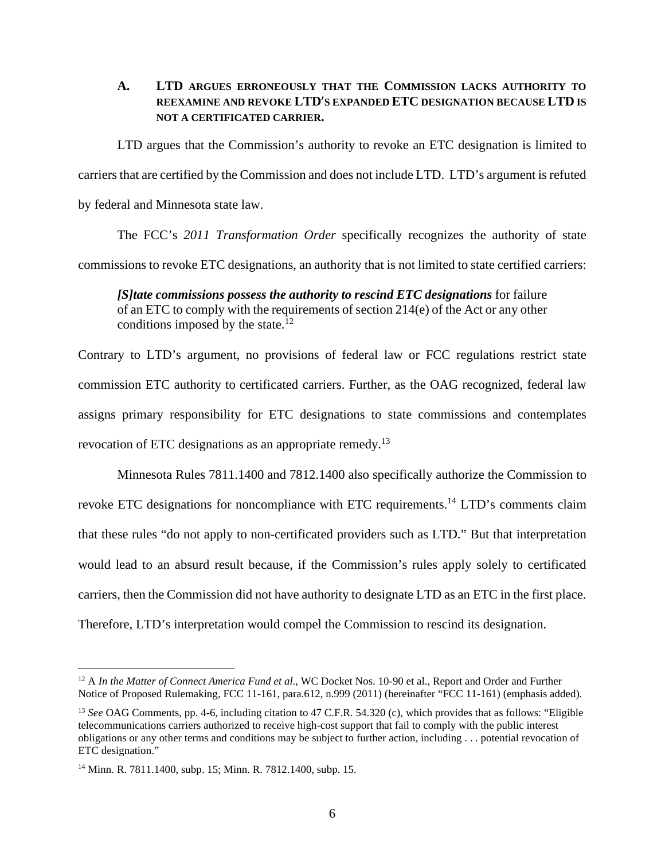### **A. LTD ARGUES ERRONEOUSLY THAT THE COMMISSION LACKS AUTHORITY TO REEXAMINE AND REVOKE LTD**'**S EXPANDED ETC DESIGNATION BECAUSE LTD IS NOT A CERTIFICATED CARRIER.**

LTD argues that the Commission's authority to revoke an ETC designation is limited to carriers that are certified by the Commission and does not include LTD. LTD's argument is refuted by federal and Minnesota state law.

The FCC's *2011 Transformation Order* specifically recognizes the authority of state commissions to revoke ETC designations, an authority that is not limited to state certified carriers:

*[S]tate commissions possess the authority to rescind ETC designations* for failure of an ETC to comply with the requirements of section 214(e) of the Act or any other conditions imposed by the state.<sup>12</sup>

Contrary to LTD's argument, no provisions of federal law or FCC regulations restrict state commission ETC authority to certificated carriers. Further, as the OAG recognized, federal law assigns primary responsibility for ETC designations to state commissions and contemplates revocation of ETC designations as an appropriate remedy.<sup>13</sup>

Minnesota Rules 7811.1400 and 7812.1400 also specifically authorize the Commission to revoke ETC designations for noncompliance with ETC requirements.<sup>14</sup> LTD's comments claim that these rules "do not apply to non-certificated providers such as LTD." But that interpretation would lead to an absurd result because, if the Commission's rules apply solely to certificated carriers, then the Commission did not have authority to designate LTD as an ETC in the first place. Therefore, LTD's interpretation would compel the Commission to rescind its designation.

<sup>&</sup>lt;sup>12</sup> A *In the Matter of Connect America Fund et al.*, WC Docket Nos. 10-90 et al., Report and Order and Further Notice of Proposed Rulemaking, FCC 11-161, para.612, n.999 (2011) (hereinafter "FCC 11-161) (emphasis added).

<sup>13</sup> *See* OAG Comments, pp. 4-6, including citation to 47 C.F.R. 54.320 (c), which provides that as follows: "Eligible telecommunications carriers authorized to receive high-cost support that fail to comply with the public interest obligations or any other terms and conditions may be subject to further action, including . . . potential revocation of ETC designation."

<sup>14</sup> Minn. R. 7811.1400, subp. 15; Minn. R. 7812.1400, subp. 15.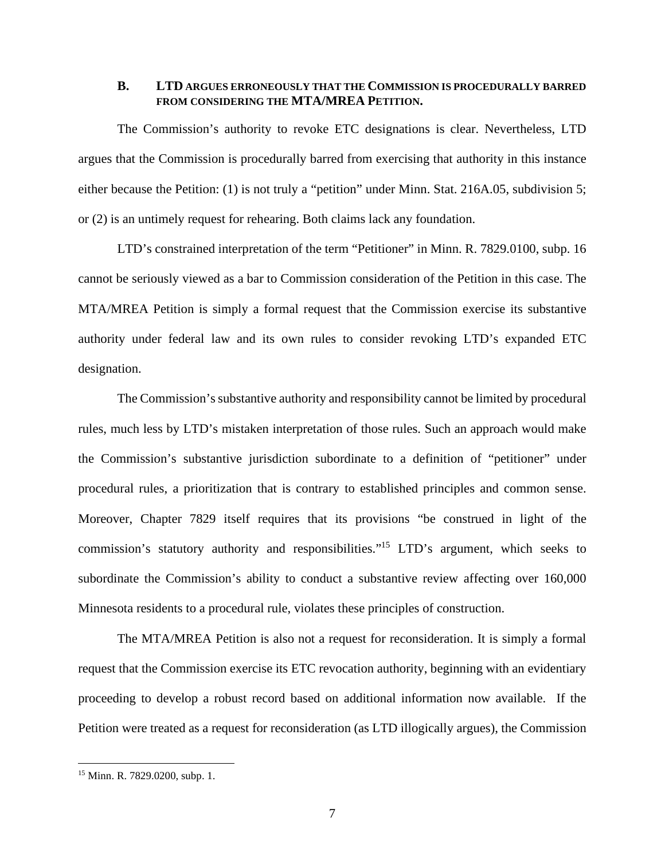#### **B. LTD ARGUES ERRONEOUSLY THAT THE COMMISSION IS PROCEDURALLY BARRED FROM CONSIDERING THE MTA/MREA PETITION.**

The Commission's authority to revoke ETC designations is clear. Nevertheless, LTD argues that the Commission is procedurally barred from exercising that authority in this instance either because the Petition: (1) is not truly a "petition" under Minn. Stat. 216A.05, subdivision 5; or (2) is an untimely request for rehearing. Both claims lack any foundation.

LTD's constrained interpretation of the term "Petitioner" in Minn. R. 7829.0100, subp. 16 cannot be seriously viewed as a bar to Commission consideration of the Petition in this case. The MTA/MREA Petition is simply a formal request that the Commission exercise its substantive authority under federal law and its own rules to consider revoking LTD's expanded ETC designation.

The Commission's substantive authority and responsibility cannot be limited by procedural rules, much less by LTD's mistaken interpretation of those rules. Such an approach would make the Commission's substantive jurisdiction subordinate to a definition of "petitioner" under procedural rules, a prioritization that is contrary to established principles and common sense. Moreover, Chapter 7829 itself requires that its provisions "be construed in light of the commission's statutory authority and responsibilities."<sup>15</sup> LTD's argument, which seeks to subordinate the Commission's ability to conduct a substantive review affecting over 160,000 Minnesota residents to a procedural rule, violates these principles of construction.

The MTA/MREA Petition is also not a request for reconsideration. It is simply a formal request that the Commission exercise its ETC revocation authority, beginning with an evidentiary proceeding to develop a robust record based on additional information now available. If the Petition were treated as a request for reconsideration (as LTD illogically argues), the Commission

<sup>15</sup> Minn. R. 7829.0200, subp. 1.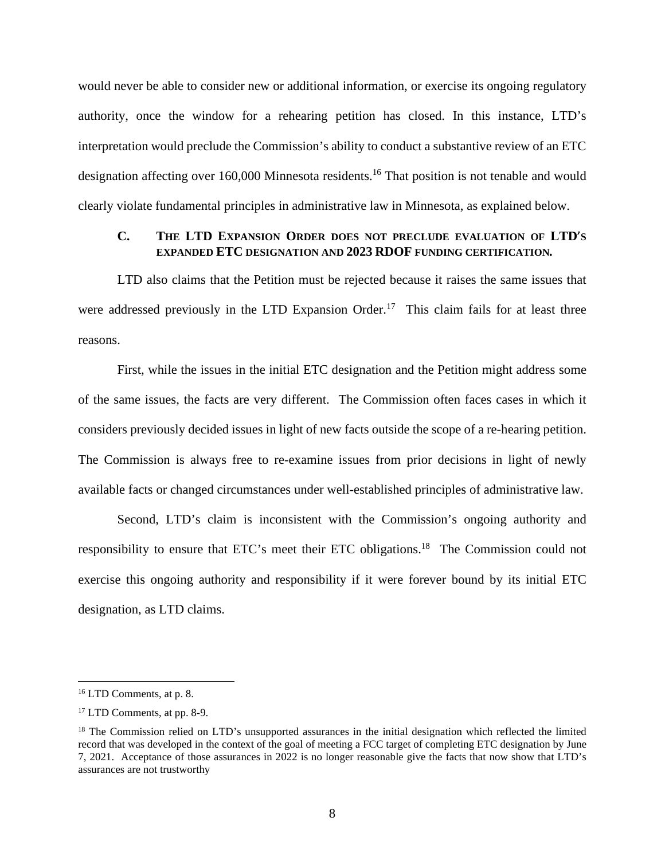would never be able to consider new or additional information, or exercise its ongoing regulatory authority, once the window for a rehearing petition has closed. In this instance, LTD's interpretation would preclude the Commission's ability to conduct a substantive review of an ETC designation affecting over 160,000 Minnesota residents.<sup>16</sup> That position is not tenable and would clearly violate fundamental principles in administrative law in Minnesota, as explained below.

### **C. THE LTD EXPANSION ORDER DOES NOT PRECLUDE EVALUATION OF LTD**'**S EXPANDED ETC DESIGNATION AND 2023 RDOF FUNDING CERTIFICATION***.*

LTD also claims that the Petition must be rejected because it raises the same issues that were addressed previously in the LTD Expansion Order.<sup>17</sup> This claim fails for at least three reasons.

First, while the issues in the initial ETC designation and the Petition might address some of the same issues, the facts are very different. The Commission often faces cases in which it considers previously decided issues in light of new facts outside the scope of a re-hearing petition. The Commission is always free to re-examine issues from prior decisions in light of newly available facts or changed circumstances under well-established principles of administrative law.

Second, LTD's claim is inconsistent with the Commission's ongoing authority and responsibility to ensure that ETC's meet their ETC obligations.<sup>18</sup> The Commission could not exercise this ongoing authority and responsibility if it were forever bound by its initial ETC designation, as LTD claims.

<sup>16</sup> LTD Comments, at p. 8.

<sup>17</sup> LTD Comments, at pp. 8-9.

<sup>&</sup>lt;sup>18</sup> The Commission relied on LTD's unsupported assurances in the initial designation which reflected the limited record that was developed in the context of the goal of meeting a FCC target of completing ETC designation by June 7, 2021. Acceptance of those assurances in 2022 is no longer reasonable give the facts that now show that LTD's assurances are not trustworthy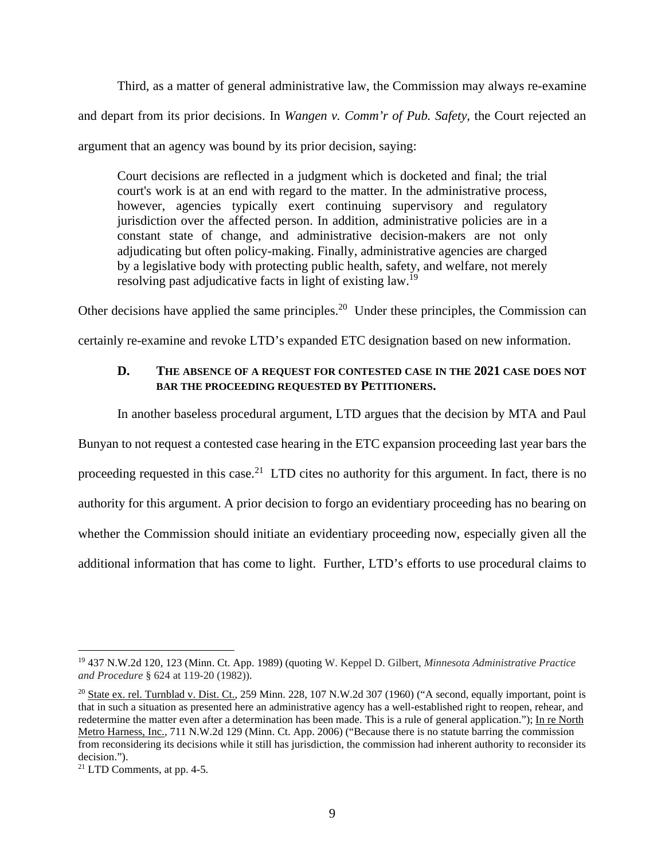Third, as a matter of general administrative law, the Commission may always re-examine and depart from its prior decisions. In *Wangen v. Comm'r of Pub. Safety,* the Court rejected an argument that an agency was bound by its prior decision, saying:

Court decisions are reflected in a judgment which is docketed and final; the trial court's work is at an end with regard to the matter. In the administrative process, however, agencies typically exert continuing supervisory and regulatory jurisdiction over the affected person. In addition, administrative policies are in a constant state of change, and administrative decision-makers are not only adjudicating but often policy-making. Finally, administrative agencies are charged by a legislative body with protecting public health, safety, and welfare, not merely resolving past adjudicative facts in light of existing law.<sup>19</sup>

Other decisions have applied the same principles.<sup>20</sup> Under these principles, the Commission can certainly re-examine and revoke LTD's expanded ETC designation based on new information.

# **D. THE ABSENCE OF A REQUEST FOR CONTESTED CASE IN THE 2021 CASE DOES NOT BAR THE PROCEEDING REQUESTED BY PETITIONERS.**

In another baseless procedural argument, LTD argues that the decision by MTA and Paul

Bunyan to not request a contested case hearing in the ETC expansion proceeding last year bars the

proceeding requested in this case.<sup>21</sup> LTD cites no authority for this argument. In fact, there is no

authority for this argument. A prior decision to forgo an evidentiary proceeding has no bearing on

whether the Commission should initiate an evidentiary proceeding now, especially given all the

additional information that has come to light. Further, LTD's efforts to use procedural claims to

<sup>19</sup> 437 N.W.2d 120, 123 (Minn. Ct. App. 1989) (quoting W. Keppel D. Gilbert, *Minnesota Administrative Practice and Procedure* § 624 at 119-20 (1982)).

<sup>&</sup>lt;sup>20</sup> State ex. rel. Turnblad v. Dist. Ct., 259 Minn. 228, 107 N.W.2d 307 (1960) ("A second, equally important, point is that in such a situation as presented here an administrative agency has a well-established right to reopen, rehear, and redetermine the matter even after a determination has been made. This is a rule of general application."); In re North Metro Harness, Inc., 711 N.W.2d 129 (Minn. Ct. App. 2006) ("Because there is no statute barring the commission from reconsidering its decisions while it still has jurisdiction, the commission had inherent authority to reconsider its decision.").

<sup>21</sup> LTD Comments, at pp. 4-5.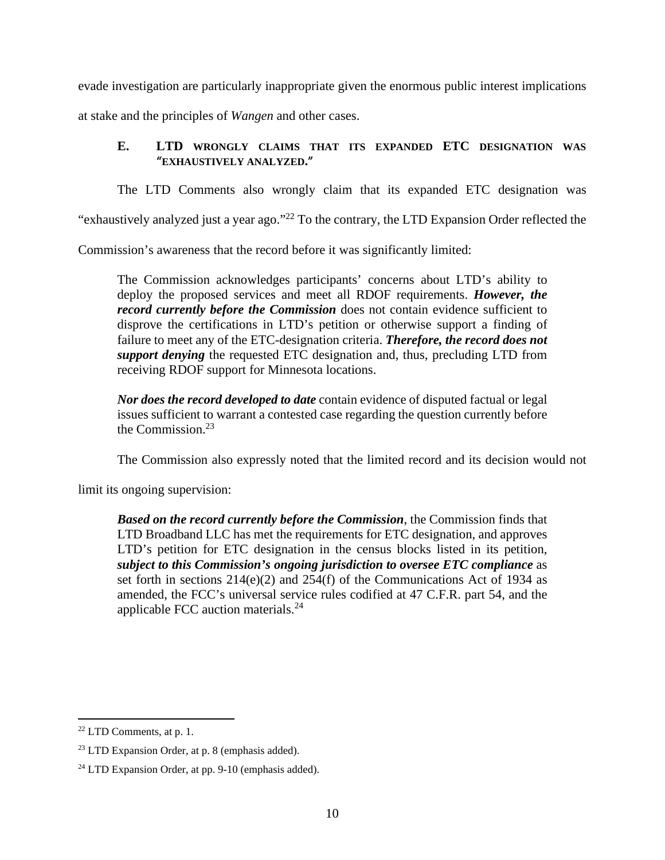evade investigation are particularly inappropriate given the enormous public interest implications

at stake and the principles of *Wangen* and other cases.

# **E. LTD WRONGLY CLAIMS THAT ITS EXPANDED ETC DESIGNATION WAS**  "**EXHAUSTIVELY ANALYZED.**"

The LTD Comments also wrongly claim that its expanded ETC designation was

"exhaustively analyzed just a year ago."<sup>22</sup> To the contrary, the LTD Expansion Order reflected the

Commission's awareness that the record before it was significantly limited:

The Commission acknowledges participants' concerns about LTD's ability to deploy the proposed services and meet all RDOF requirements. *However, the record currently before the Commission* does not contain evidence sufficient to disprove the certifications in LTD's petition or otherwise support a finding of failure to meet any of the ETC-designation criteria. *Therefore, the record does not support denying* the requested ETC designation and, thus, precluding LTD from receiving RDOF support for Minnesota locations.

*Nor does the record developed to date* contain evidence of disputed factual or legal issues sufficient to warrant a contested case regarding the question currently before the Commission. $23$ 

The Commission also expressly noted that the limited record and its decision would not

limit its ongoing supervision:

*Based on the record currently before the Commission*, the Commission finds that LTD Broadband LLC has met the requirements for ETC designation, and approves LTD's petition for ETC designation in the census blocks listed in its petition, *subject to this Commission's ongoing jurisdiction to oversee ETC compliance* as set forth in sections 214(e)(2) and 254(f) of the Communications Act of 1934 as amended, the FCC's universal service rules codified at 47 C.F.R. part 54, and the applicable FCC auction materials.<sup>24</sup>

<sup>22</sup> LTD Comments, at p. 1.

 $23$  LTD Expansion Order, at p. 8 (emphasis added).

<sup>24</sup> LTD Expansion Order, at pp. 9-10 (emphasis added).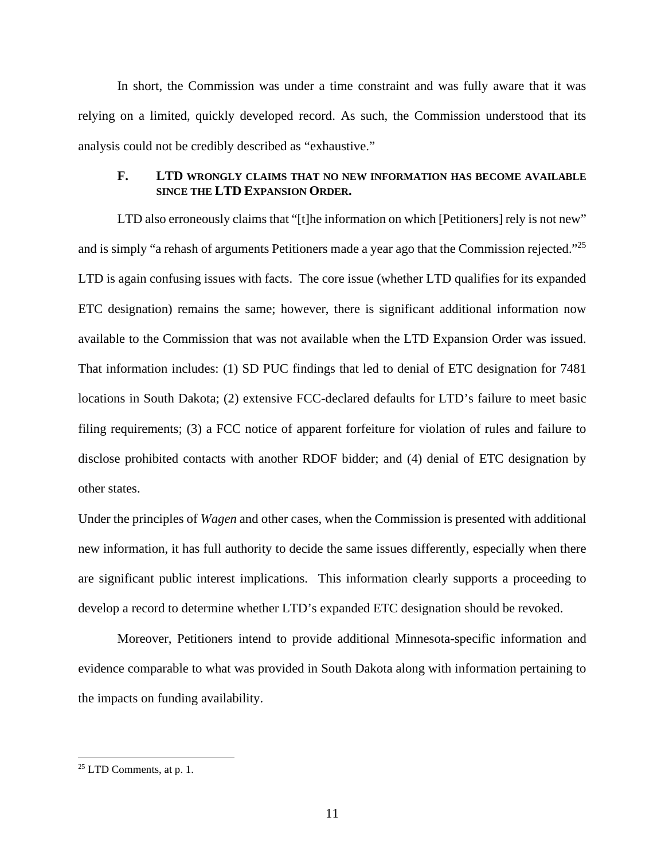In short, the Commission was under a time constraint and was fully aware that it was relying on a limited, quickly developed record. As such, the Commission understood that its analysis could not be credibly described as "exhaustive."

#### **F. LTD WRONGLY CLAIMS THAT NO NEW INFORMATION HAS BECOME AVAILABLE SINCE THE LTD EXPANSION ORDER.**

LTD also erroneously claims that "[t]he information on which [Petitioners] rely is not new" and is simply "a rehash of arguments Petitioners made a year ago that the Commission rejected."<sup>25</sup> LTD is again confusing issues with facts. The core issue (whether LTD qualifies for its expanded ETC designation) remains the same; however, there is significant additional information now available to the Commission that was not available when the LTD Expansion Order was issued. That information includes: (1) SD PUC findings that led to denial of ETC designation for 7481 locations in South Dakota; (2) extensive FCC-declared defaults for LTD's failure to meet basic filing requirements; (3) a FCC notice of apparent forfeiture for violation of rules and failure to disclose prohibited contacts with another RDOF bidder; and (4) denial of ETC designation by other states.

Under the principles of *Wagen* and other cases, when the Commission is presented with additional new information, it has full authority to decide the same issues differently, especially when there are significant public interest implications. This information clearly supports a proceeding to develop a record to determine whether LTD's expanded ETC designation should be revoked.

Moreover, Petitioners intend to provide additional Minnesota-specific information and evidence comparable to what was provided in South Dakota along with information pertaining to the impacts on funding availability.

 $25$  LTD Comments, at p. 1.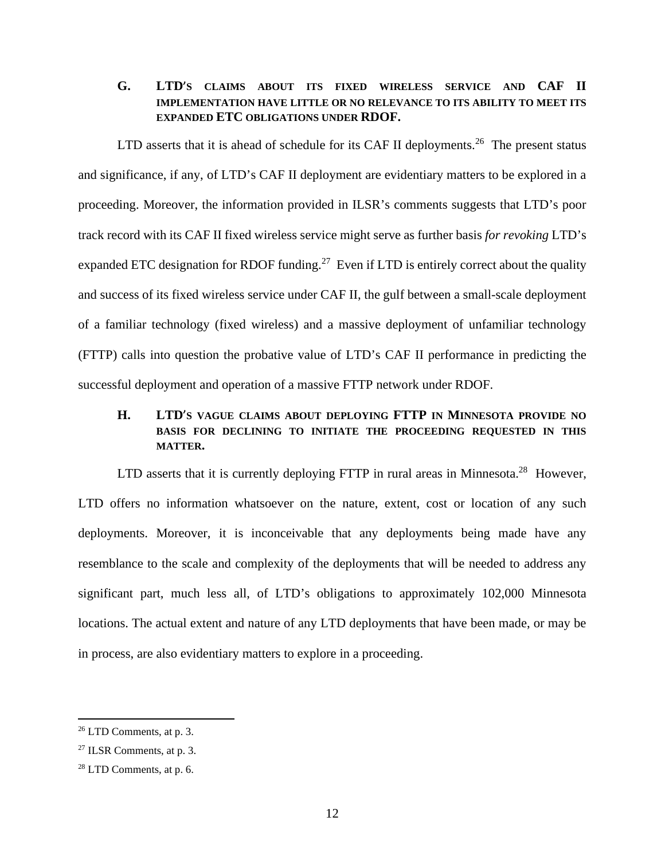# **G. LTD**'**S CLAIMS ABOUT ITS FIXED WIRELESS SERVICE AND CAF II IMPLEMENTATION HAVE LITTLE OR NO RELEVANCE TO ITS ABILITY TO MEET ITS EXPANDED ETC OBLIGATIONS UNDER RDOF.**

LTD asserts that it is ahead of schedule for its CAF II deployments.<sup>26</sup> The present status and significance, if any, of LTD's CAF II deployment are evidentiary matters to be explored in a proceeding. Moreover, the information provided in ILSR's comments suggests that LTD's poor track record with its CAF II fixed wireless service might serve as further basis *for revoking* LTD's expanded ETC designation for RDOF funding.<sup>27</sup> Even if LTD is entirely correct about the quality and success of its fixed wireless service under CAF II, the gulf between a small-scale deployment of a familiar technology (fixed wireless) and a massive deployment of unfamiliar technology (FTTP) calls into question the probative value of LTD's CAF II performance in predicting the successful deployment and operation of a massive FTTP network under RDOF.

# **H. LTD**'**S VAGUE CLAIMS ABOUT DEPLOYING FTTP IN MINNESOTA PROVIDE NO BASIS FOR DECLINING TO INITIATE THE PROCEEDING REQUESTED IN THIS MATTER.**

LTD asserts that it is currently deploying FTTP in rural areas in Minnesota.<sup>28</sup> However, LTD offers no information whatsoever on the nature, extent, cost or location of any such deployments. Moreover, it is inconceivable that any deployments being made have any resemblance to the scale and complexity of the deployments that will be needed to address any significant part, much less all, of LTD's obligations to approximately 102,000 Minnesota locations. The actual extent and nature of any LTD deployments that have been made, or may be in process, are also evidentiary matters to explore in a proceeding.

 $26$  LTD Comments, at p. 3.

<sup>27</sup> ILSR Comments, at p. 3.

<sup>28</sup> LTD Comments, at p. 6.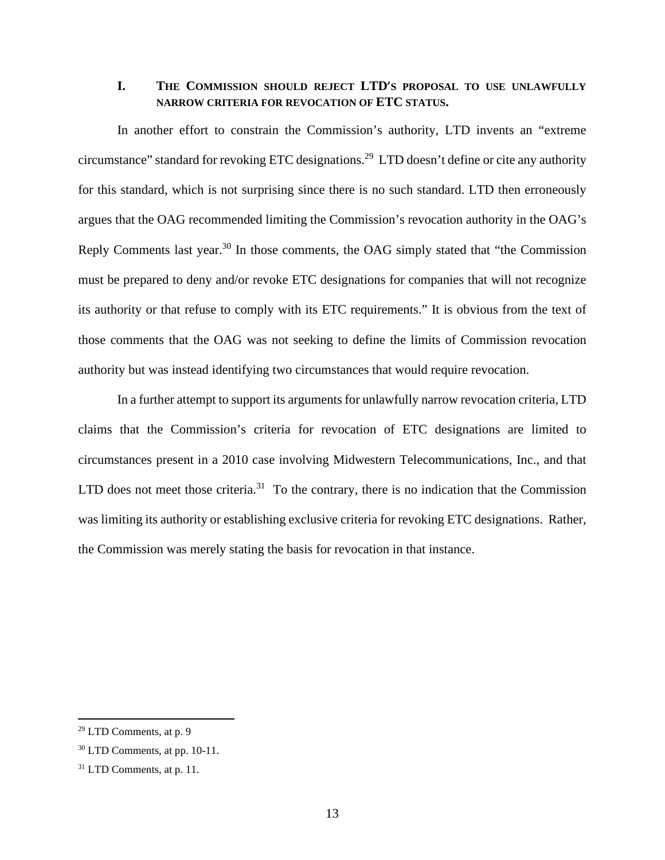### **I. THE COMMISSION SHOULD REJECT LTD**'**S PROPOSAL TO USE UNLAWFULLY NARROW CRITERIA FOR REVOCATION OF ETC STATUS.**

In another effort to constrain the Commission's authority, LTD invents an "extreme circumstance" standard for revoking ETC designations.<sup>29</sup> LTD doesn't define or cite any authority for this standard, which is not surprising since there is no such standard. LTD then erroneously argues that the OAG recommended limiting the Commission's revocation authority in the OAG's Reply Comments last year.<sup>30</sup> In those comments, the OAG simply stated that "the Commission" must be prepared to deny and/or revoke ETC designations for companies that will not recognize its authority or that refuse to comply with its ETC requirements." It is obvious from the text of those comments that the OAG was not seeking to define the limits of Commission revocation authority but was instead identifying two circumstances that would require revocation.

In a further attempt to support its arguments for unlawfully narrow revocation criteria, LTD claims that the Commission's criteria for revocation of ETC designations are limited to circumstances present in a 2010 case involving Midwestern Telecommunications, Inc., and that LTD does not meet those criteria.<sup>31</sup> To the contrary, there is no indication that the Commission was limiting its authority or establishing exclusive criteria for revoking ETC designations. Rather, the Commission was merely stating the basis for revocation in that instance.

 $29$  LTD Comments, at p. 9

 $30$  LTD Comments, at pp. 10-11.

<sup>31</sup> LTD Comments, at p. 11.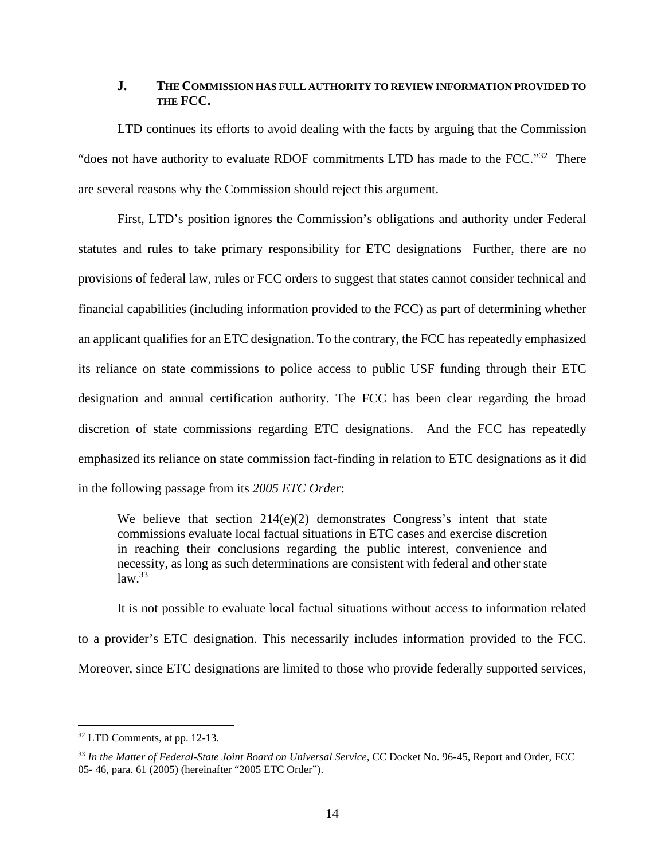#### **J. THE COMMISSION HAS FULL AUTHORITY TO REVIEW INFORMATION PROVIDED TO THE FCC.**

LTD continues its efforts to avoid dealing with the facts by arguing that the Commission "does not have authority to evaluate RDOF commitments LTD has made to the FCC."32 There are several reasons why the Commission should reject this argument.

First, LTD's position ignores the Commission's obligations and authority under Federal statutes and rules to take primary responsibility for ETC designations Further, there are no provisions of federal law, rules or FCC orders to suggest that states cannot consider technical and financial capabilities (including information provided to the FCC) as part of determining whether an applicant qualifies for an ETC designation. To the contrary, the FCC has repeatedly emphasized its reliance on state commissions to police access to public USF funding through their ETC designation and annual certification authority. The FCC has been clear regarding the broad discretion of state commissions regarding ETC designations. And the FCC has repeatedly emphasized its reliance on state commission fact-finding in relation to ETC designations as it did in the following passage from its *2005 ETC Order*:

We believe that section  $214(e)(2)$  demonstrates Congress's intent that state commissions evaluate local factual situations in ETC cases and exercise discretion in reaching their conclusions regarding the public interest, convenience and necessity, as long as such determinations are consistent with federal and other state  $law.<sup>33</sup>$ 

It is not possible to evaluate local factual situations without access to information related to a provider's ETC designation. This necessarily includes information provided to the FCC. Moreover, since ETC designations are limited to those who provide federally supported services,

<sup>32</sup> LTD Comments, at pp. 12-13.

<sup>33</sup> *In the Matter of Federal-State Joint Board on Universal Service*, CC Docket No. 96-45, Report and Order, FCC 05- 46, para. 61 (2005) (hereinafter "2005 ETC Order").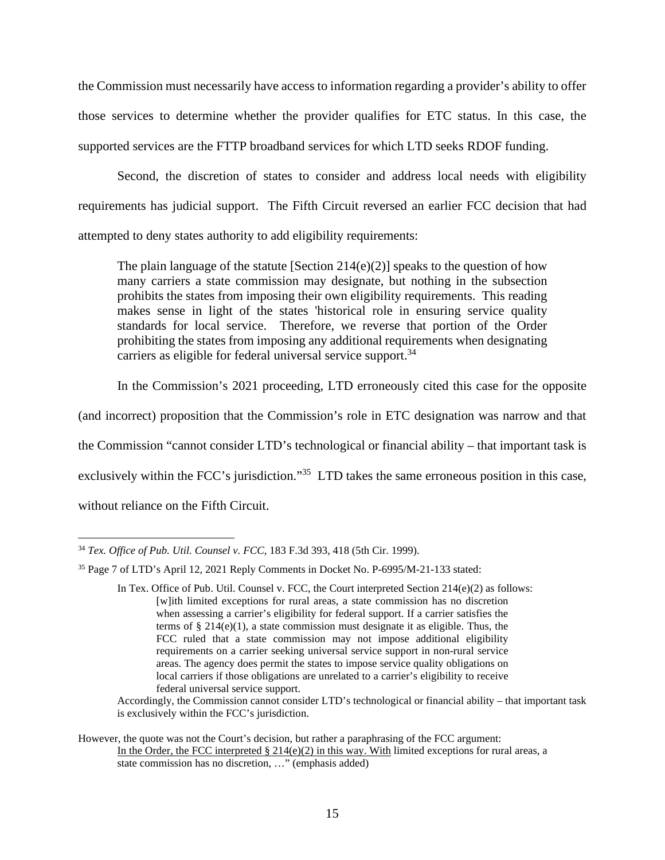the Commission must necessarily have access to information regarding a provider's ability to offer those services to determine whether the provider qualifies for ETC status. In this case, the supported services are the FTTP broadband services for which LTD seeks RDOF funding.

Second, the discretion of states to consider and address local needs with eligibility requirements has judicial support. The Fifth Circuit reversed an earlier FCC decision that had attempted to deny states authority to add eligibility requirements:

The plain language of the statute [Section 214(e)(2)] speaks to the question of how many carriers a state commission may designate, but nothing in the subsection prohibits the states from imposing their own eligibility requirements. This reading makes sense in light of the states 'historical role in ensuring service quality standards for local service. Therefore, we reverse that portion of the Order prohibiting the states from imposing any additional requirements when designating carriers as eligible for federal universal service support.<sup>34</sup>

In the Commission's 2021 proceeding, LTD erroneously cited this case for the opposite

(and incorrect) proposition that the Commission's role in ETC designation was narrow and that

the Commission "cannot consider LTD's technological or financial ability – that important task is

exclusively within the FCC's jurisdiction."<sup>35</sup> LTD takes the same erroneous position in this case,

without reliance on the Fifth Circuit.

Accordingly, the Commission cannot consider LTD's technological or financial ability – that important task is exclusively within the FCC's jurisdiction.

<sup>34</sup> *Tex. Office of Pub. Util. Counsel v. FCC*, 183 F.3d 393, 418 (5th Cir. 1999).

<sup>35</sup> Page 7 of LTD's April 12, 2021 Reply Comments in Docket No. P-6995/M-21-133 stated:

In Tex. Office of Pub. Util. Counsel v. FCC, the Court interpreted Section  $214(e)(2)$  as follows: [w]ith limited exceptions for rural areas, a state commission has no discretion when assessing a carrier's eligibility for federal support. If a carrier satisfies the terms of § 214(e)(1), a state commission must designate it as eligible. Thus, the FCC ruled that a state commission may not impose additional eligibility requirements on a carrier seeking universal service support in non-rural service areas. The agency does permit the states to impose service quality obligations on local carriers if those obligations are unrelated to a carrier's eligibility to receive federal universal service support.

However, the quote was not the Court's decision, but rather a paraphrasing of the FCC argument: In the Order, the FCC interpreted  $\S 214(e)(2)$  in this way. With limited exceptions for rural areas, a state commission has no discretion, …" (emphasis added)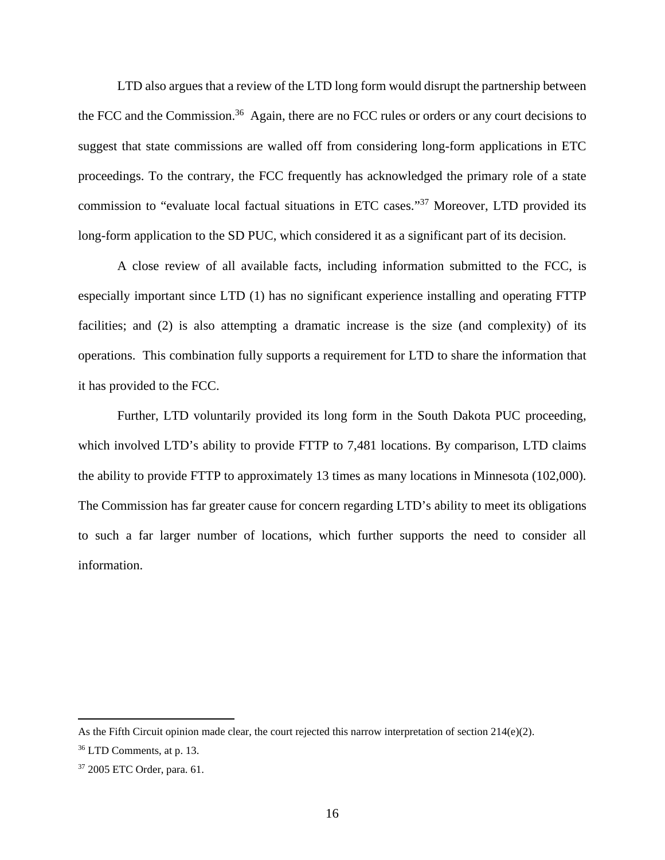LTD also argues that a review of the LTD long form would disrupt the partnership between the FCC and the Commission.<sup>36</sup> Again, there are no FCC rules or orders or any court decisions to suggest that state commissions are walled off from considering long-form applications in ETC proceedings. To the contrary, the FCC frequently has acknowledged the primary role of a state commission to "evaluate local factual situations in ETC cases."<sup>37</sup> Moreover, LTD provided its long-form application to the SD PUC, which considered it as a significant part of its decision.

A close review of all available facts, including information submitted to the FCC, is especially important since LTD (1) has no significant experience installing and operating FTTP facilities; and (2) is also attempting a dramatic increase is the size (and complexity) of its operations. This combination fully supports a requirement for LTD to share the information that it has provided to the FCC.

Further, LTD voluntarily provided its long form in the South Dakota PUC proceeding, which involved LTD's ability to provide FTTP to 7,481 locations. By comparison, LTD claims the ability to provide FTTP to approximately 13 times as many locations in Minnesota (102,000). The Commission has far greater cause for concern regarding LTD's ability to meet its obligations to such a far larger number of locations, which further supports the need to consider all information.

As the Fifth Circuit opinion made clear, the court rejected this narrow interpretation of section  $214(e)(2)$ .

 $36$  LTD Comments, at p. 13.

<sup>37</sup> 2005 ETC Order, para. 61.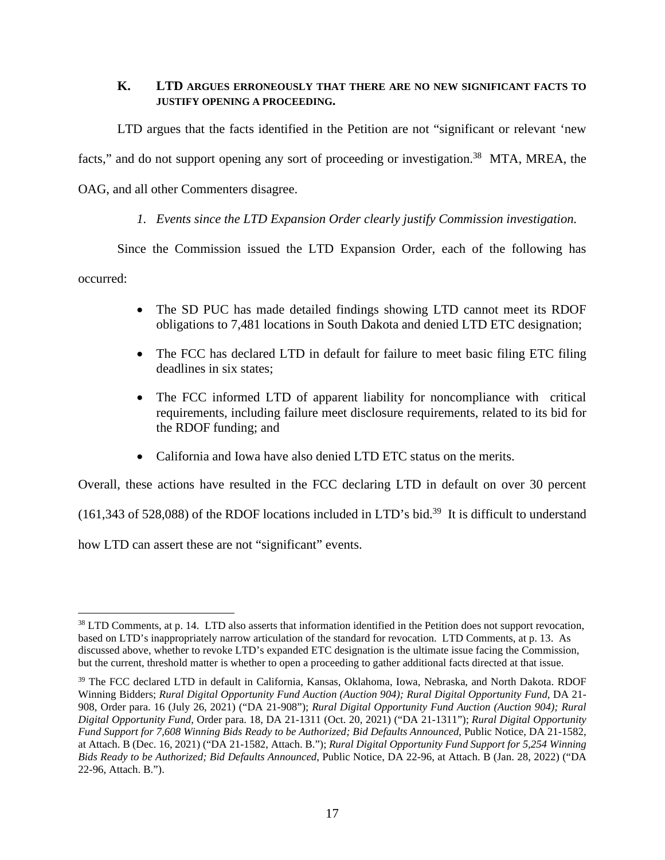### **K. LTD ARGUES ERRONEOUSLY THAT THERE ARE NO NEW SIGNIFICANT FACTS TO JUSTIFY OPENING A PROCEEDING.**

LTD argues that the facts identified in the Petition are not "significant or relevant 'new facts," and do not support opening any sort of proceeding or investigation.<sup>38</sup> MTA, MREA, the OAG, and all other Commenters disagree.

# *1. Events since the LTD Expansion Order clearly justify Commission investigation.*

Since the Commission issued the LTD Expansion Order, each of the following has

occurred:

- The SD PUC has made detailed findings showing LTD cannot meet its RDOF obligations to 7,481 locations in South Dakota and denied LTD ETC designation;
- The FCC has declared LTD in default for failure to meet basic filing ETC filing deadlines in six states;
- The FCC informed LTD of apparent liability for noncompliance with critical requirements, including failure meet disclosure requirements, related to its bid for the RDOF funding; and
- California and Iowa have also denied LTD ETC status on the merits.

Overall, these actions have resulted in the FCC declaring LTD in default on over 30 percent

(161,343 of 528,088) of the RDOF locations included in LTD's bid.<sup>39</sup> It is difficult to understand

how LTD can assert these are not "significant" events.

<sup>&</sup>lt;sup>38</sup> LTD Comments, at p. 14. LTD also asserts that information identified in the Petition does not support revocation, based on LTD's inappropriately narrow articulation of the standard for revocation. LTD Comments, at p. 13. As discussed above, whether to revoke LTD's expanded ETC designation is the ultimate issue facing the Commission, but the current, threshold matter is whether to open a proceeding to gather additional facts directed at that issue.

<sup>&</sup>lt;sup>39</sup> The FCC declared LTD in default in California, Kansas, Oklahoma, Iowa, Nebraska, and North Dakota. RDOF Winning Bidders; *Rural Digital Opportunity Fund Auction (Auction 904); Rural Digital Opportunity Fund*, DA 21- 908, Order para. 16 (July 26, 2021) ("DA 21-908"); *Rural Digital Opportunity Fund Auction (Auction 904); Rural Digital Opportunity Fund*, Order para. 18, DA 21-1311 (Oct. 20, 2021) ("DA 21-1311"); *Rural Digital Opportunity Fund Support for 7,608 Winning Bids Ready to be Authorized; Bid Defaults Announced*, Public Notice, DA 21-1582, at Attach. B (Dec. 16, 2021) ("DA 21-1582, Attach. B."); *Rural Digital Opportunity Fund Support for 5,254 Winning Bids Ready to be Authorized; Bid Defaults Announced*, Public Notice, DA 22-96, at Attach. B (Jan. 28, 2022) ("DA 22-96, Attach. B.").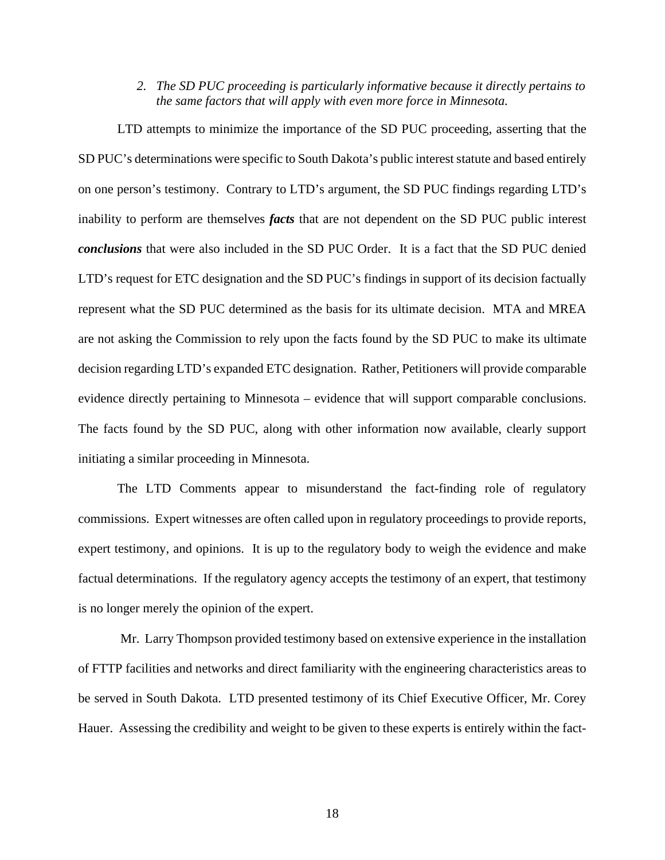*2. The SD PUC proceeding is particularly informative because it directly pertains to the same factors that will apply with even more force in Minnesota.* 

LTD attempts to minimize the importance of the SD PUC proceeding, asserting that the SD PUC's determinations were specific to South Dakota's public interest statute and based entirely on one person's testimony. Contrary to LTD's argument, the SD PUC findings regarding LTD's inability to perform are themselves *facts* that are not dependent on the SD PUC public interest *conclusions* that were also included in the SD PUC Order. It is a fact that the SD PUC denied LTD's request for ETC designation and the SD PUC's findings in support of its decision factually represent what the SD PUC determined as the basis for its ultimate decision. MTA and MREA are not asking the Commission to rely upon the facts found by the SD PUC to make its ultimate decision regarding LTD's expanded ETC designation. Rather, Petitioners will provide comparable evidence directly pertaining to Minnesota – evidence that will support comparable conclusions. The facts found by the SD PUC, along with other information now available, clearly support initiating a similar proceeding in Minnesota.

The LTD Comments appear to misunderstand the fact-finding role of regulatory commissions. Expert witnesses are often called upon in regulatory proceedings to provide reports, expert testimony, and opinions. It is up to the regulatory body to weigh the evidence and make factual determinations. If the regulatory agency accepts the testimony of an expert, that testimony is no longer merely the opinion of the expert.

 Mr. Larry Thompson provided testimony based on extensive experience in the installation of FTTP facilities and networks and direct familiarity with the engineering characteristics areas to be served in South Dakota. LTD presented testimony of its Chief Executive Officer, Mr. Corey Hauer. Assessing the credibility and weight to be given to these experts is entirely within the fact-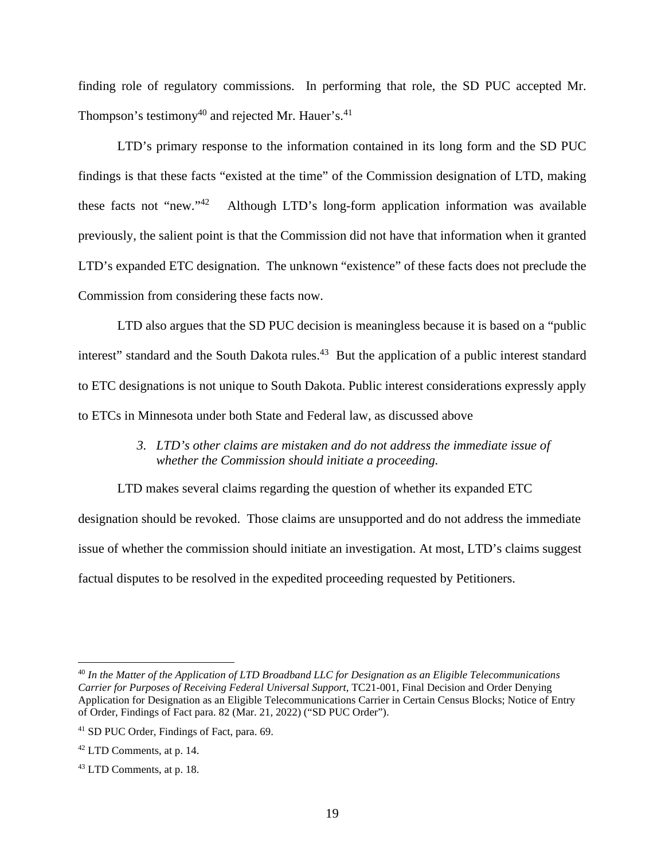finding role of regulatory commissions. In performing that role, the SD PUC accepted Mr. Thompson's testimony<sup>40</sup> and rejected Mr. Hauer's.<sup>41</sup>

LTD's primary response to the information contained in its long form and the SD PUC findings is that these facts "existed at the time" of the Commission designation of LTD, making these facts not "new."<sup>42</sup> Although LTD's long-form application information was available previously, the salient point is that the Commission did not have that information when it granted LTD's expanded ETC designation. The unknown "existence" of these facts does not preclude the Commission from considering these facts now.

LTD also argues that the SD PUC decision is meaningless because it is based on a "public interest" standard and the South Dakota rules.<sup>43</sup> But the application of a public interest standard to ETC designations is not unique to South Dakota. Public interest considerations expressly apply to ETCs in Minnesota under both State and Federal law, as discussed above

# *3. LTD's other claims are mistaken and do not address the immediate issue of whether the Commission should initiate a proceeding.*

LTD makes several claims regarding the question of whether its expanded ETC designation should be revoked. Those claims are unsupported and do not address the immediate issue of whether the commission should initiate an investigation. At most, LTD's claims suggest factual disputes to be resolved in the expedited proceeding requested by Petitioners.

<sup>40</sup> *In the Matter of the Application of LTD Broadband LLC for Designation as an Eligible Telecommunications Carrier for Purposes of Receiving Federal Universal Support*, TC21-001, Final Decision and Order Denying Application for Designation as an Eligible Telecommunications Carrier in Certain Census Blocks; Notice of Entry of Order, Findings of Fact para. 82 (Mar. 21, 2022) ("SD PUC Order").

<sup>41</sup> SD PUC Order, Findings of Fact, para. 69.

 $42$  LTD Comments, at p. 14.

<sup>43</sup> LTD Comments, at p. 18.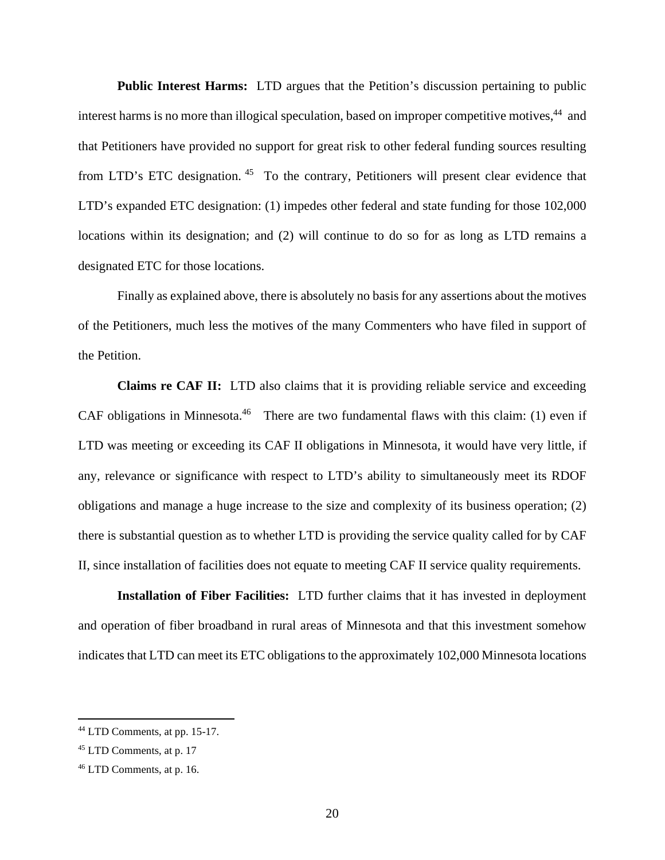**Public Interest Harms:** LTD argues that the Petition's discussion pertaining to public interest harms is no more than illogical speculation, based on improper competitive motives,<sup>44</sup> and that Petitioners have provided no support for great risk to other federal funding sources resulting from LTD's ETC designation.<sup>45</sup> To the contrary, Petitioners will present clear evidence that LTD's expanded ETC designation: (1) impedes other federal and state funding for those 102,000 locations within its designation; and (2) will continue to do so for as long as LTD remains a designated ETC for those locations.

Finally as explained above, there is absolutely no basis for any assertions about the motives of the Petitioners, much less the motives of the many Commenters who have filed in support of the Petition.

**Claims re CAF II:** LTD also claims that it is providing reliable service and exceeding CAF obligations in Minnesota.<sup>46</sup> There are two fundamental flaws with this claim: (1) even if LTD was meeting or exceeding its CAF II obligations in Minnesota, it would have very little, if any, relevance or significance with respect to LTD's ability to simultaneously meet its RDOF obligations and manage a huge increase to the size and complexity of its business operation; (2) there is substantial question as to whether LTD is providing the service quality called for by CAF II, since installation of facilities does not equate to meeting CAF II service quality requirements.

**Installation of Fiber Facilities:** LTD further claims that it has invested in deployment and operation of fiber broadband in rural areas of Minnesota and that this investment somehow indicates that LTD can meet its ETC obligations to the approximately 102,000 Minnesota locations

<sup>44</sup> LTD Comments, at pp. 15-17.

<sup>45</sup> LTD Comments, at p. 17

<sup>46</sup> LTD Comments, at p. 16.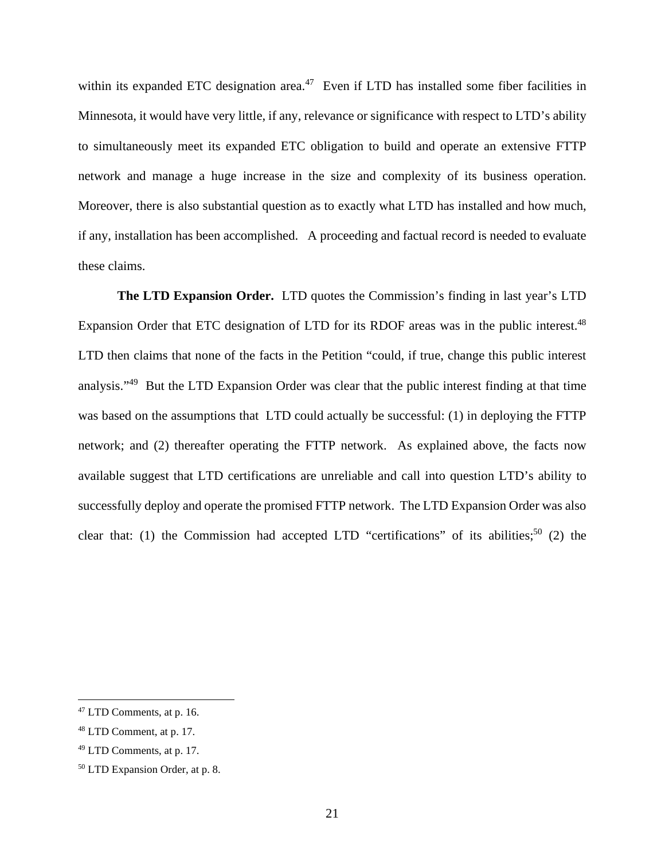within its expanded ETC designation area.<sup>47</sup> Even if LTD has installed some fiber facilities in Minnesota, it would have very little, if any, relevance or significance with respect to LTD's ability to simultaneously meet its expanded ETC obligation to build and operate an extensive FTTP network and manage a huge increase in the size and complexity of its business operation. Moreover, there is also substantial question as to exactly what LTD has installed and how much, if any, installation has been accomplished. A proceeding and factual record is needed to evaluate these claims.

**The LTD Expansion Order.** LTD quotes the Commission's finding in last year's LTD Expansion Order that ETC designation of LTD for its RDOF areas was in the public interest.<sup>48</sup> LTD then claims that none of the facts in the Petition "could, if true, change this public interest analysis."<sup>49</sup> But the LTD Expansion Order was clear that the public interest finding at that time was based on the assumptions that LTD could actually be successful: (1) in deploying the FTTP network; and (2) thereafter operating the FTTP network. As explained above, the facts now available suggest that LTD certifications are unreliable and call into question LTD's ability to successfully deploy and operate the promised FTTP network. The LTD Expansion Order was also clear that: (1) the Commission had accepted LTD "certifications" of its abilities;<sup>50</sup> (2) the

<sup>47</sup> LTD Comments, at p. 16.

<sup>48</sup> LTD Comment, at p. 17.

<sup>49</sup> LTD Comments, at p. 17.

<sup>50</sup> LTD Expansion Order, at p. 8.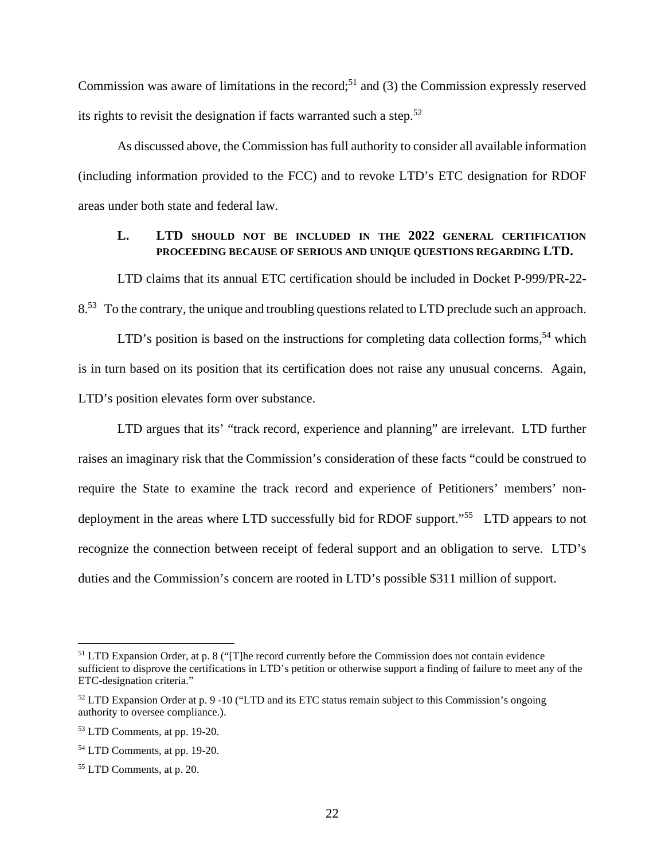Commission was aware of limitations in the record;<sup>51</sup> and (3) the Commission expressly reserved its rights to revisit the designation if facts warranted such a step.<sup>52</sup>

As discussed above, the Commission has full authority to consider all available information (including information provided to the FCC) and to revoke LTD's ETC designation for RDOF areas under both state and federal law.

### **L. LTD SHOULD NOT BE INCLUDED IN THE 2022 GENERAL CERTIFICATION PROCEEDING BECAUSE OF SERIOUS AND UNIQUE QUESTIONS REGARDING LTD.**

LTD claims that its annual ETC certification should be included in Docket P-999/PR-22- 8.<sup>53</sup> To the contrary, the unique and troubling questions related to LTD preclude such an approach.

LTD's position is based on the instructions for completing data collection forms,<sup>54</sup> which is in turn based on its position that its certification does not raise any unusual concerns. Again, LTD's position elevates form over substance.

LTD argues that its' "track record, experience and planning" are irrelevant. LTD further raises an imaginary risk that the Commission's consideration of these facts "could be construed to require the State to examine the track record and experience of Petitioners' members' nondeployment in the areas where LTD successfully bid for RDOF support."<sup>55</sup> LTD appears to not recognize the connection between receipt of federal support and an obligation to serve. LTD's duties and the Commission's concern are rooted in LTD's possible \$311 million of support.

 $51$  LTD Expansion Order, at p. 8 ("[T]he record currently before the Commission does not contain evidence sufficient to disprove the certifications in LTD's petition or otherwise support a finding of failure to meet any of the ETC-designation criteria."

<sup>52</sup> LTD Expansion Order at p. 9 -10 ("LTD and its ETC status remain subject to this Commission's ongoing authority to oversee compliance.).

<sup>53</sup> LTD Comments, at pp. 19-20.

<sup>54</sup> LTD Comments, at pp. 19-20.

<sup>55</sup> LTD Comments, at p. 20.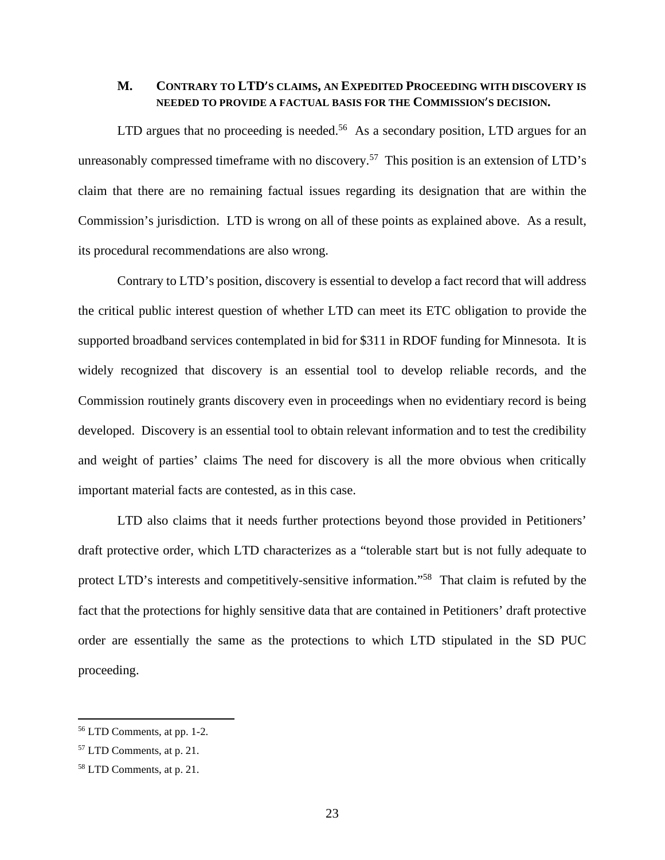#### **M. CONTRARY TO LTD**'**S CLAIMS, AN EXPEDITED PROCEEDING WITH DISCOVERY IS NEEDED TO PROVIDE A FACTUAL BASIS FOR THE COMMISSION**'**S DECISION.**

LTD argues that no proceeding is needed.<sup>56</sup> As a secondary position, LTD argues for an unreasonably compressed timeframe with no discovery.<sup>57</sup> This position is an extension of LTD's claim that there are no remaining factual issues regarding its designation that are within the Commission's jurisdiction. LTD is wrong on all of these points as explained above. As a result, its procedural recommendations are also wrong.

Contrary to LTD's position, discovery is essential to develop a fact record that will address the critical public interest question of whether LTD can meet its ETC obligation to provide the supported broadband services contemplated in bid for \$311 in RDOF funding for Minnesota. It is widely recognized that discovery is an essential tool to develop reliable records, and the Commission routinely grants discovery even in proceedings when no evidentiary record is being developed. Discovery is an essential tool to obtain relevant information and to test the credibility and weight of parties' claims The need for discovery is all the more obvious when critically important material facts are contested, as in this case.

LTD also claims that it needs further protections beyond those provided in Petitioners' draft protective order, which LTD characterizes as a "tolerable start but is not fully adequate to protect LTD's interests and competitively-sensitive information."<sup>58</sup> That claim is refuted by the fact that the protections for highly sensitive data that are contained in Petitioners' draft protective order are essentially the same as the protections to which LTD stipulated in the SD PUC proceeding.

<sup>56</sup> LTD Comments, at pp. 1-2.

<sup>57</sup> LTD Comments, at p. 21.

<sup>58</sup> LTD Comments, at p. 21.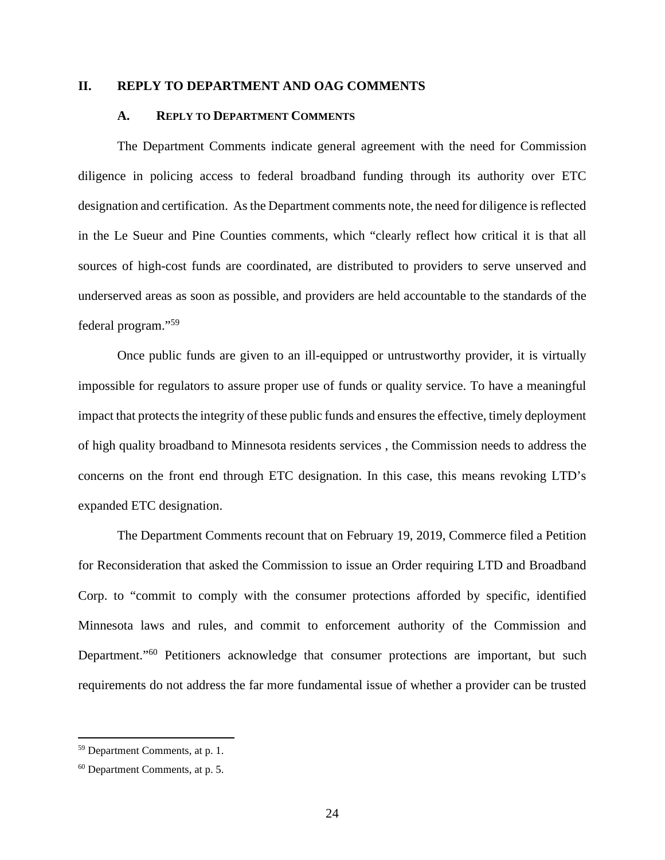#### **II. REPLY TO DEPARTMENT AND OAG COMMENTS**

#### **A. REPLY TO DEPARTMENT COMMENTS**

The Department Comments indicate general agreement with the need for Commission diligence in policing access to federal broadband funding through its authority over ETC designation and certification. As the Department comments note, the need for diligence is reflected in the Le Sueur and Pine Counties comments, which "clearly reflect how critical it is that all sources of high-cost funds are coordinated, are distributed to providers to serve unserved and underserved areas as soon as possible, and providers are held accountable to the standards of the federal program."<sup>59</sup>

Once public funds are given to an ill-equipped or untrustworthy provider, it is virtually impossible for regulators to assure proper use of funds or quality service. To have a meaningful impact that protects the integrity of these public funds and ensures the effective, timely deployment of high quality broadband to Minnesota residents services , the Commission needs to address the concerns on the front end through ETC designation. In this case, this means revoking LTD's expanded ETC designation.

The Department Comments recount that on February 19, 2019, Commerce filed a Petition for Reconsideration that asked the Commission to issue an Order requiring LTD and Broadband Corp. to "commit to comply with the consumer protections afforded by specific, identified Minnesota laws and rules, and commit to enforcement authority of the Commission and Department."<sup>60</sup> Petitioners acknowledge that consumer protections are important, but such requirements do not address the far more fundamental issue of whether a provider can be trusted

<sup>59</sup> Department Comments, at p. 1.

<sup>60</sup> Department Comments, at p. 5.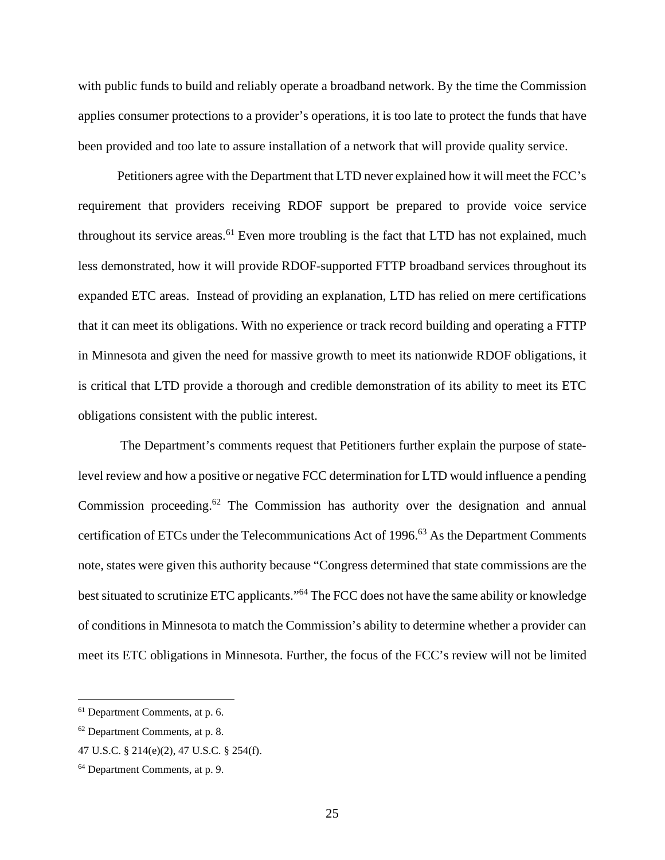with public funds to build and reliably operate a broadband network. By the time the Commission applies consumer protections to a provider's operations, it is too late to protect the funds that have been provided and too late to assure installation of a network that will provide quality service.

Petitioners agree with the Department that LTD never explained how it will meet the FCC's requirement that providers receiving RDOF support be prepared to provide voice service throughout its service areas.<sup>61</sup> Even more troubling is the fact that LTD has not explained, much less demonstrated, how it will provide RDOF-supported FTTP broadband services throughout its expanded ETC areas. Instead of providing an explanation, LTD has relied on mere certifications that it can meet its obligations. With no experience or track record building and operating a FTTP in Minnesota and given the need for massive growth to meet its nationwide RDOF obligations, it is critical that LTD provide a thorough and credible demonstration of its ability to meet its ETC obligations consistent with the public interest.

 The Department's comments request that Petitioners further explain the purpose of statelevel review and how a positive or negative FCC determination for LTD would influence a pending Commission proceeding.<sup>62</sup> The Commission has authority over the designation and annual certification of ETCs under the Telecommunications Act of 1996.<sup>63</sup> As the Department Comments note, states were given this authority because "Congress determined that state commissions are the best situated to scrutinize ETC applicants."<sup>64</sup> The FCC does not have the same ability or knowledge of conditions in Minnesota to match the Commission's ability to determine whether a provider can meet its ETC obligations in Minnesota. Further, the focus of the FCC's review will not be limited

<sup>61</sup> Department Comments, at p. 6.

<sup>62</sup> Department Comments, at p. 8.

<sup>47</sup> U.S.C. § 214(e)(2), 47 U.S.C. § 254(f).

<sup>64</sup> Department Comments, at p. 9.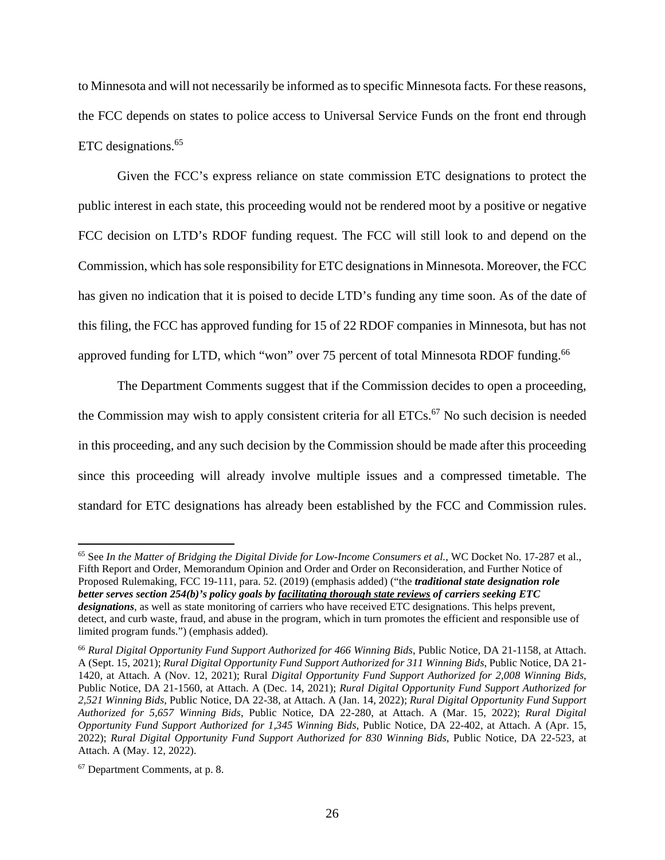to Minnesota and will not necessarily be informed as to specific Minnesota facts*.* For these reasons, the FCC depends on states to police access to Universal Service Funds on the front end through ETC designations.<sup>65</sup>

Given the FCC's express reliance on state commission ETC designations to protect the public interest in each state, this proceeding would not be rendered moot by a positive or negative FCC decision on LTD's RDOF funding request. The FCC will still look to and depend on the Commission, which has sole responsibility for ETC designations in Minnesota. Moreover, the FCC has given no indication that it is poised to decide LTD's funding any time soon. As of the date of this filing, the FCC has approved funding for 15 of 22 RDOF companies in Minnesota, but has not approved funding for LTD, which "won" over 75 percent of total Minnesota RDOF funding.<sup>66</sup>

The Department Comments suggest that if the Commission decides to open a proceeding, the Commission may wish to apply consistent criteria for all  $ETCs$ .<sup>67</sup> No such decision is needed in this proceeding, and any such decision by the Commission should be made after this proceeding since this proceeding will already involve multiple issues and a compressed timetable. The standard for ETC designations has already been established by the FCC and Commission rules.

<sup>65</sup> See *In the Matter of Bridging the Digital Divide for Low-Income Consumers et al.*, WC Docket No. 17-287 et al., Fifth Report and Order, Memorandum Opinion and Order and Order on Reconsideration, and Further Notice of Proposed Rulemaking, FCC 19-111, para. 52. (2019) (emphasis added) ("the *traditional state designation role better serves section 254(b)'s policy goals by facilitating thorough state reviews of carriers seeking ETC designations*, as well as state monitoring of carriers who have received ETC designations. This helps prevent, detect, and curb waste, fraud, and abuse in the program, which in turn promotes the efficient and responsible use of limited program funds.") (emphasis added).

<sup>66</sup> *Rural Digital Opportunity Fund Support Authorized for 466 Winning Bids*, Public Notice, DA 21-1158, at Attach. A (Sept. 15, 2021); *Rural Digital Opportunity Fund Support Authorized for 311 Winning Bids*, Public Notice, DA 21- 1420, at Attach. A (Nov. 12, 2021); Rural *Digital Opportunity Fund Support Authorized for 2,008 Winning Bids*, Public Notice, DA 21-1560, at Attach. A (Dec. 14, 2021); *Rural Digital Opportunity Fund Support Authorized for 2,521 Winning Bids*, Public Notice, DA 22-38, at Attach. A (Jan. 14, 2022); *Rural Digital Opportunity Fund Support Authorized for 5,657 Winning Bids*, Public Notice, DA 22-280, at Attach. A (Mar. 15, 2022); *Rural Digital Opportunity Fund Support Authorized for 1,345 Winning Bids*, Public Notice, DA 22-402, at Attach. A (Apr. 15, 2022); *Rural Digital Opportunity Fund Support Authorized for 830 Winning Bids*, Public Notice, DA 22-523, at Attach. A (May. 12, 2022).

<sup>67</sup> Department Comments, at p. 8.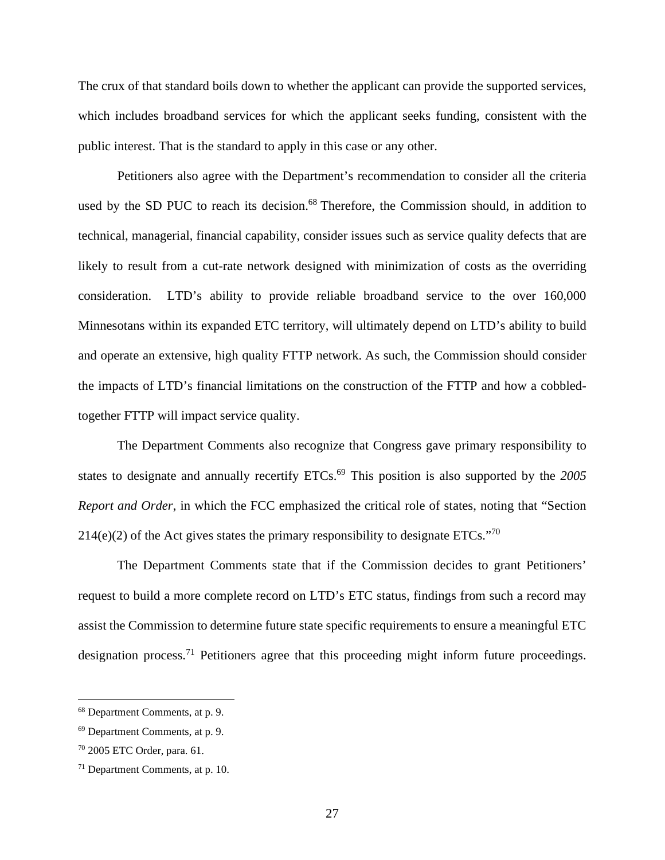The crux of that standard boils down to whether the applicant can provide the supported services, which includes broadband services for which the applicant seeks funding, consistent with the public interest. That is the standard to apply in this case or any other.

Petitioners also agree with the Department's recommendation to consider all the criteria used by the SD PUC to reach its decision.<sup>68</sup> Therefore, the Commission should, in addition to technical, managerial, financial capability, consider issues such as service quality defects that are likely to result from a cut-rate network designed with minimization of costs as the overriding consideration. LTD's ability to provide reliable broadband service to the over 160,000 Minnesotans within its expanded ETC territory, will ultimately depend on LTD's ability to build and operate an extensive, high quality FTTP network. As such, the Commission should consider the impacts of LTD's financial limitations on the construction of the FTTP and how a cobbledtogether FTTP will impact service quality.

The Department Comments also recognize that Congress gave primary responsibility to states to designate and annually recertify ETCs.<sup>69</sup> This position is also supported by the 2005 *Report and Order*, in which the FCC emphasized the critical role of states, noting that "Section  $214(e)(2)$  of the Act gives states the primary responsibility to designate ETCs."<sup>70</sup>

The Department Comments state that if the Commission decides to grant Petitioners' request to build a more complete record on LTD's ETC status, findings from such a record may assist the Commission to determine future state specific requirements to ensure a meaningful ETC designation process.<sup>71</sup> Petitioners agree that this proceeding might inform future proceedings.

<sup>68</sup> Department Comments, at p. 9.

<sup>69</sup> Department Comments, at p. 9.

<sup>70</sup> 2005 ETC Order, para. 61.

<sup>71</sup> Department Comments, at p. 10.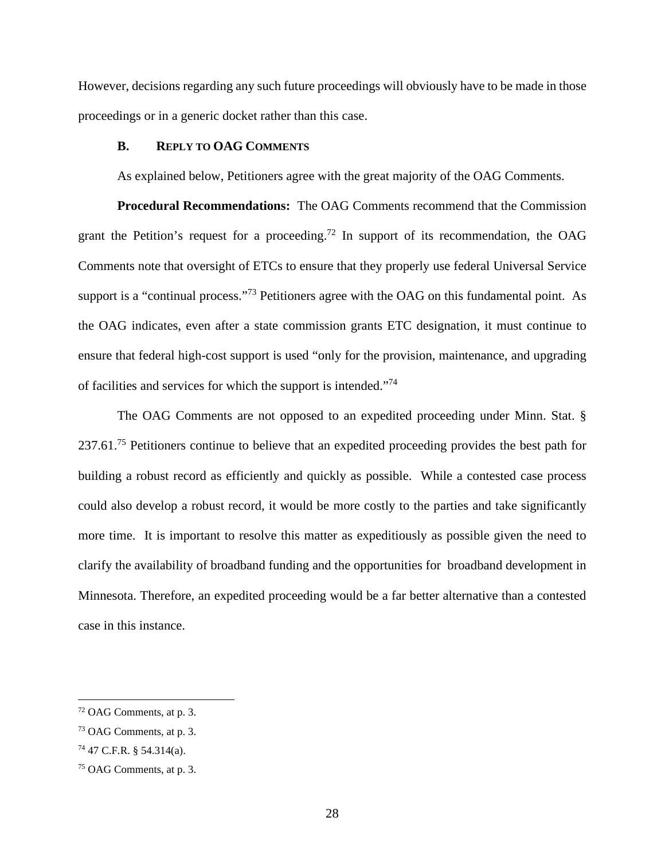However, decisions regarding any such future proceedings will obviously have to be made in those proceedings or in a generic docket rather than this case.

#### **B. REPLY TO OAG COMMENTS**

As explained below, Petitioners agree with the great majority of the OAG Comments.

**Procedural Recommendations:** The OAG Comments recommend that the Commission grant the Petition's request for a proceeding.<sup>72</sup> In support of its recommendation, the OAG Comments note that oversight of ETCs to ensure that they properly use federal Universal Service support is a "continual process."<sup>73</sup> Petitioners agree with the OAG on this fundamental point. As the OAG indicates, even after a state commission grants ETC designation, it must continue to ensure that federal high-cost support is used "only for the provision, maintenance, and upgrading of facilities and services for which the support is intended."<sup>74</sup>

The OAG Comments are not opposed to an expedited proceeding under Minn. Stat. § 237.61.<sup>75</sup> Petitioners continue to believe that an expedited proceeding provides the best path for building a robust record as efficiently and quickly as possible. While a contested case process could also develop a robust record, it would be more costly to the parties and take significantly more time. It is important to resolve this matter as expeditiously as possible given the need to clarify the availability of broadband funding and the opportunities for broadband development in Minnesota. Therefore, an expedited proceeding would be a far better alternative than a contested case in this instance.

<sup>72</sup> OAG Comments, at p. 3.

<sup>73</sup> OAG Comments, at p. 3.

<sup>74</sup> 47 C.F.R. § 54.314(a).

<sup>75</sup> OAG Comments, at p. 3.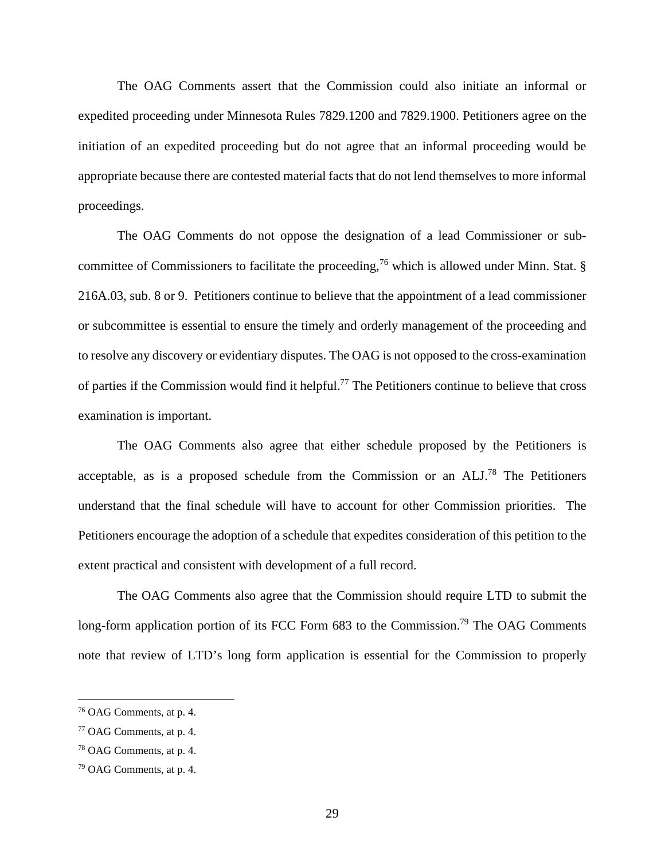The OAG Comments assert that the Commission could also initiate an informal or expedited proceeding under Minnesota Rules 7829.1200 and 7829.1900. Petitioners agree on the initiation of an expedited proceeding but do not agree that an informal proceeding would be appropriate because there are contested material facts that do not lend themselves to more informal proceedings.

The OAG Comments do not oppose the designation of a lead Commissioner or subcommittee of Commissioners to facilitate the proceeding,<sup>76</sup> which is allowed under Minn. Stat.  $\S$ 216A.03, sub. 8 or 9. Petitioners continue to believe that the appointment of a lead commissioner or subcommittee is essential to ensure the timely and orderly management of the proceeding and to resolve any discovery or evidentiary disputes. The OAG is not opposed to the cross-examination of parties if the Commission would find it helpful.<sup>77</sup> The Petitioners continue to believe that cross examination is important.

The OAG Comments also agree that either schedule proposed by the Petitioners is acceptable, as is a proposed schedule from the Commission or an  $ALL^{78}$  The Petitioners understand that the final schedule will have to account for other Commission priorities. The Petitioners encourage the adoption of a schedule that expedites consideration of this petition to the extent practical and consistent with development of a full record.

The OAG Comments also agree that the Commission should require LTD to submit the long-form application portion of its FCC Form 683 to the Commission.<sup>79</sup> The OAG Comments note that review of LTD's long form application is essential for the Commission to properly

<sup>76</sup> OAG Comments, at p. 4.

<sup>77</sup> OAG Comments, at p. 4.

<sup>78</sup> OAG Comments, at p. 4.

<sup>79</sup> OAG Comments, at p. 4.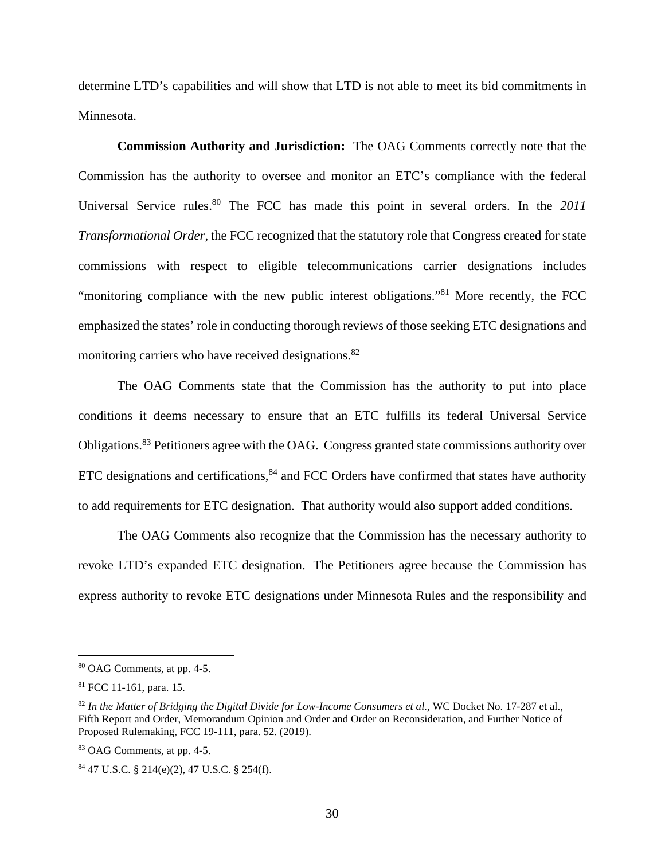determine LTD's capabilities and will show that LTD is not able to meet its bid commitments in Minnesota.

**Commission Authority and Jurisdiction:** The OAG Comments correctly note that the Commission has the authority to oversee and monitor an ETC's compliance with the federal Universal Service rules.<sup>80</sup> The FCC has made this point in several orders. In the 2011 *Transformational Order*, the FCC recognized that the statutory role that Congress created for state commissions with respect to eligible telecommunications carrier designations includes "monitoring compliance with the new public interest obligations."<sup>81</sup> More recently, the FCC emphasized the states' role in conducting thorough reviews of those seeking ETC designations and monitoring carriers who have received designations.<sup>82</sup>

The OAG Comments state that the Commission has the authority to put into place conditions it deems necessary to ensure that an ETC fulfills its federal Universal Service Obligations.<sup>83</sup> Petitioners agree with the OAG. Congress granted state commissions authority over ETC designations and certifications,  $84$  and FCC Orders have confirmed that states have authority to add requirements for ETC designation. That authority would also support added conditions.

The OAG Comments also recognize that the Commission has the necessary authority to revoke LTD's expanded ETC designation. The Petitioners agree because the Commission has express authority to revoke ETC designations under Minnesota Rules and the responsibility and

<sup>80</sup> OAG Comments, at pp. 4-5.

<sup>81</sup> FCC 11-161, para. 15.

<sup>82</sup> *In the Matter of Bridging the Digital Divide for Low-Income Consumers et al.*, WC Docket No. 17-287 et al., Fifth Report and Order, Memorandum Opinion and Order and Order on Reconsideration, and Further Notice of Proposed Rulemaking, FCC 19-111, para. 52. (2019).

<sup>83</sup> OAG Comments, at pp. 4-5.

<sup>84</sup> 47 U.S.C. § 214(e)(2), 47 U.S.C. § 254(f).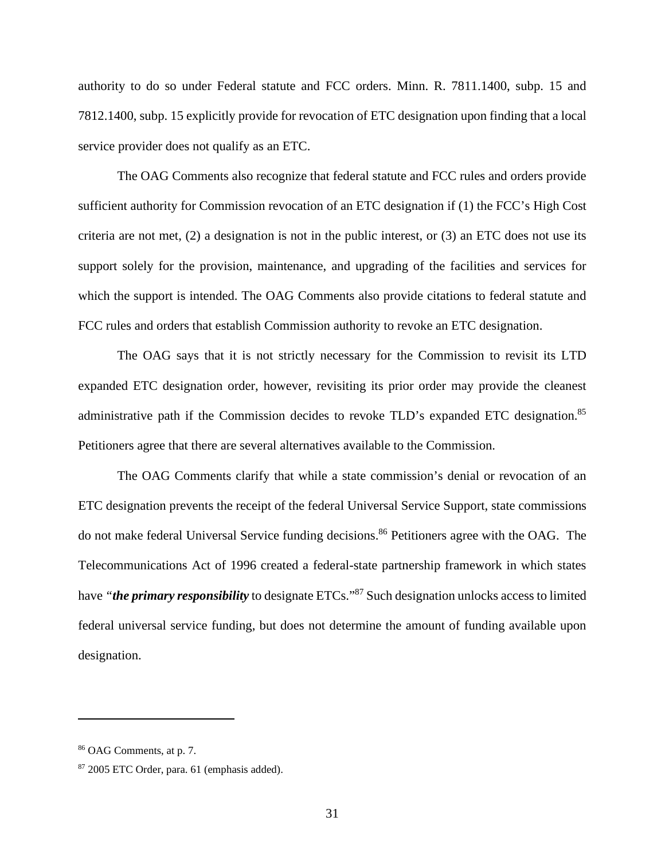authority to do so under Federal statute and FCC orders. Minn. R. 7811.1400, subp. 15 and 7812.1400, subp. 15 explicitly provide for revocation of ETC designation upon finding that a local service provider does not qualify as an ETC.

The OAG Comments also recognize that federal statute and FCC rules and orders provide sufficient authority for Commission revocation of an ETC designation if (1) the FCC's High Cost criteria are not met,  $(2)$  a designation is not in the public interest, or  $(3)$  an ETC does not use its support solely for the provision, maintenance, and upgrading of the facilities and services for which the support is intended. The OAG Comments also provide citations to federal statute and FCC rules and orders that establish Commission authority to revoke an ETC designation.

The OAG says that it is not strictly necessary for the Commission to revisit its LTD expanded ETC designation order, however, revisiting its prior order may provide the cleanest administrative path if the Commission decides to revoke TLD's expanded ETC designation.<sup>85</sup> Petitioners agree that there are several alternatives available to the Commission.

The OAG Comments clarify that while a state commission's denial or revocation of an ETC designation prevents the receipt of the federal Universal Service Support, state commissions do not make federal Universal Service funding decisions.<sup>86</sup> Petitioners agree with the OAG. The Telecommunications Act of 1996 created a federal-state partnership framework in which states have *"the primary responsibility* to designate ETCs."<sup>87</sup> Such designation unlocks access to limited federal universal service funding, but does not determine the amount of funding available upon designation.

<sup>86</sup> OAG Comments, at p. 7.

<sup>87</sup> 2005 ETC Order, para. 61 (emphasis added).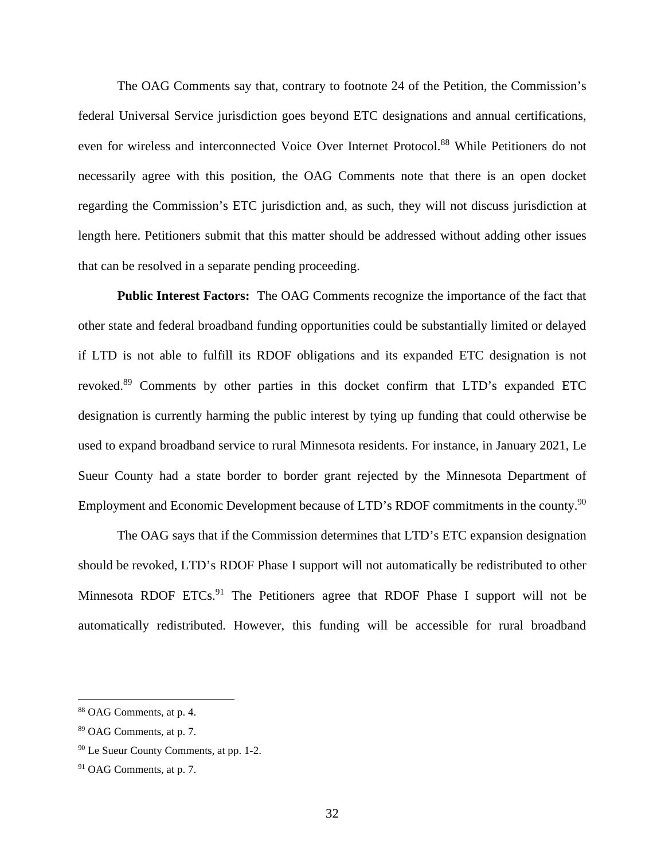The OAG Comments say that, contrary to footnote 24 of the Petition, the Commission's federal Universal Service jurisdiction goes beyond ETC designations and annual certifications, even for wireless and interconnected Voice Over Internet Protocol.<sup>88</sup> While Petitioners do not necessarily agree with this position, the OAG Comments note that there is an open docket regarding the Commission's ETC jurisdiction and, as such, they will not discuss jurisdiction at length here. Petitioners submit that this matter should be addressed without adding other issues that can be resolved in a separate pending proceeding.

**Public Interest Factors:** The OAG Comments recognize the importance of the fact that other state and federal broadband funding opportunities could be substantially limited or delayed if LTD is not able to fulfill its RDOF obligations and its expanded ETC designation is not revoked.<sup>89</sup> Comments by other parties in this docket confirm that LTD's expanded ETC designation is currently harming the public interest by tying up funding that could otherwise be used to expand broadband service to rural Minnesota residents. For instance, in January 2021, Le Sueur County had a state border to border grant rejected by the Minnesota Department of Employment and Economic Development because of LTD's RDOF commitments in the county.<sup>90</sup>

The OAG says that if the Commission determines that LTD's ETC expansion designation should be revoked, LTD's RDOF Phase I support will not automatically be redistributed to other Minnesota RDOF ETCs.<sup>91</sup> The Petitioners agree that RDOF Phase I support will not be automatically redistributed. However, this funding will be accessible for rural broadband

<sup>88</sup> OAG Comments, at p. 4.

<sup>89</sup> OAG Comments, at p. 7.

<sup>90</sup> Le Sueur County Comments, at pp. 1-2.

<sup>91</sup> OAG Comments, at p. 7.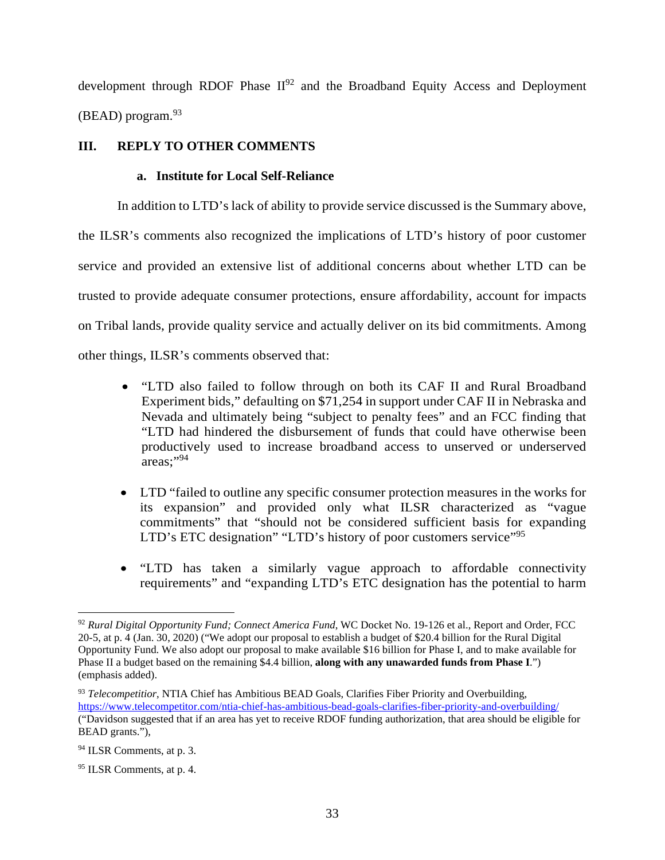development through RDOF Phase  $II^{92}$  and the Broadband Equity Access and Deployment  $(BEAD)$  program.  $93$ 

# **III. REPLY TO OTHER COMMENTS**

### **a. Institute for Local Self-Reliance**

In addition to LTD's lack of ability to provide service discussed is the Summary above,

the ILSR's comments also recognized the implications of LTD's history of poor customer service and provided an extensive list of additional concerns about whether LTD can be trusted to provide adequate consumer protections, ensure affordability, account for impacts on Tribal lands, provide quality service and actually deliver on its bid commitments. Among other things, ILSR's comments observed that:

- "LTD also failed to follow through on both its CAF II and Rural Broadband Experiment bids," defaulting on \$71,254 in support under CAF II in Nebraska and Nevada and ultimately being "subject to penalty fees" and an FCC finding that "LTD had hindered the disbursement of funds that could have otherwise been productively used to increase broadband access to unserved or underserved areas;"<sup>94</sup>
- LTD "failed to outline any specific consumer protection measures in the works for its expansion" and provided only what ILSR characterized as "vague commitments" that "should not be considered sufficient basis for expanding LTD's ETC designation" "LTD's history of poor customers service"<sup>95</sup>
- "LTD has taken a similarly vague approach to affordable connectivity requirements" and "expanding LTD's ETC designation has the potential to harm

<sup>92</sup> *Rural Digital Opportunity Fund; Connect America Fund*, WC Docket No. 19-126 et al., Report and Order, FCC 20-5, at p. 4 (Jan. 30, 2020) ("We adopt our proposal to establish a budget of \$20.4 billion for the Rural Digital Opportunity Fund. We also adopt our proposal to make available \$16 billion for Phase I, and to make available for Phase II a budget based on the remaining \$4.4 billion, **along with any unawarded funds from Phase I**.") (emphasis added).

<sup>93</sup> *Telecompetitior*, NTIA Chief has Ambitious BEAD Goals, Clarifies Fiber Priority and Overbuilding, https://www.telecompetitor.com/ntia-chief-has-ambitious-bead-goals-clarifies-fiber-priority-and-overbuilding/ ("Davidson suggested that if an area has yet to receive RDOF funding authorization, that area should be eligible for BEAD grants."),

<sup>94</sup> ILSR Comments, at p. 3.

<sup>95</sup> ILSR Comments, at p. 4.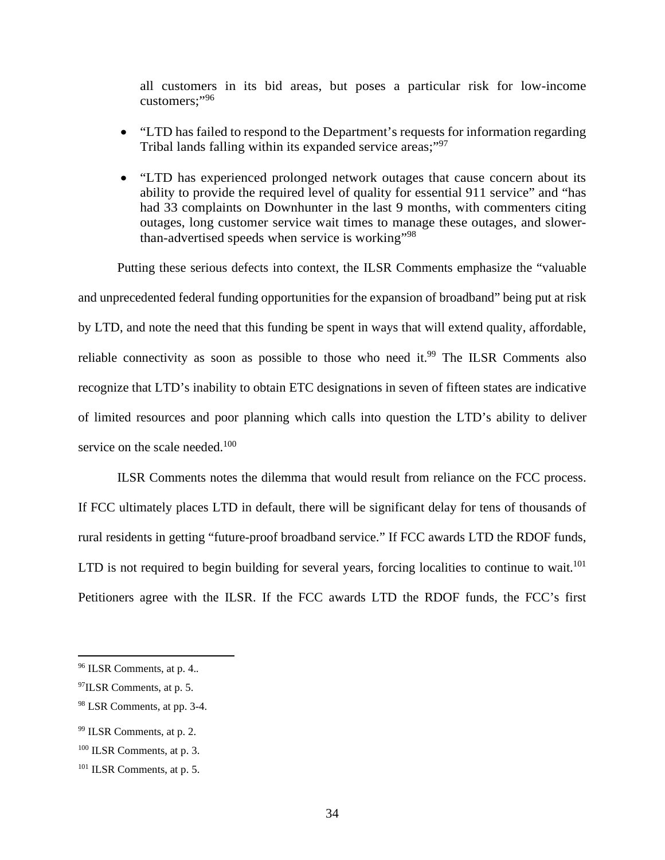all customers in its bid areas, but poses a particular risk for low-income customers;"<sup>96</sup>

- "LTD has failed to respond to the Department's requests for information regarding Tribal lands falling within its expanded service areas;"<sup>97</sup>
- "LTD has experienced prolonged network outages that cause concern about its ability to provide the required level of quality for essential 911 service" and "has had 33 complaints on Downhunter in the last 9 months, with commenters citing outages, long customer service wait times to manage these outages, and slowerthan-advertised speeds when service is working"<sup>98</sup>

Putting these serious defects into context, the ILSR Comments emphasize the "valuable and unprecedented federal funding opportunities for the expansion of broadband" being put at risk by LTD, and note the need that this funding be spent in ways that will extend quality, affordable, reliable connectivity as soon as possible to those who need it.<sup>99</sup> The ILSR Comments also recognize that LTD's inability to obtain ETC designations in seven of fifteen states are indicative of limited resources and poor planning which calls into question the LTD's ability to deliver service on the scale needed.<sup>100</sup>

ILSR Comments notes the dilemma that would result from reliance on the FCC process. If FCC ultimately places LTD in default, there will be significant delay for tens of thousands of rural residents in getting "future-proof broadband service." If FCC awards LTD the RDOF funds, LTD is not required to begin building for several years, forcing localities to continue to wait.<sup>101</sup> Petitioners agree with the ILSR. If the FCC awards LTD the RDOF funds, the FCC's first

<sup>96</sup> ILSR Comments, at p. 4.*.*

<sup>97</sup>ILSR Comments, at p. 5.

<sup>98</sup> LSR Comments, at pp. 3-4.

<sup>99</sup> ILSR Comments, at p. 2.

<sup>100</sup> ILSR Comments, at p. 3.

<sup>101</sup> ILSR Comments, at p. 5.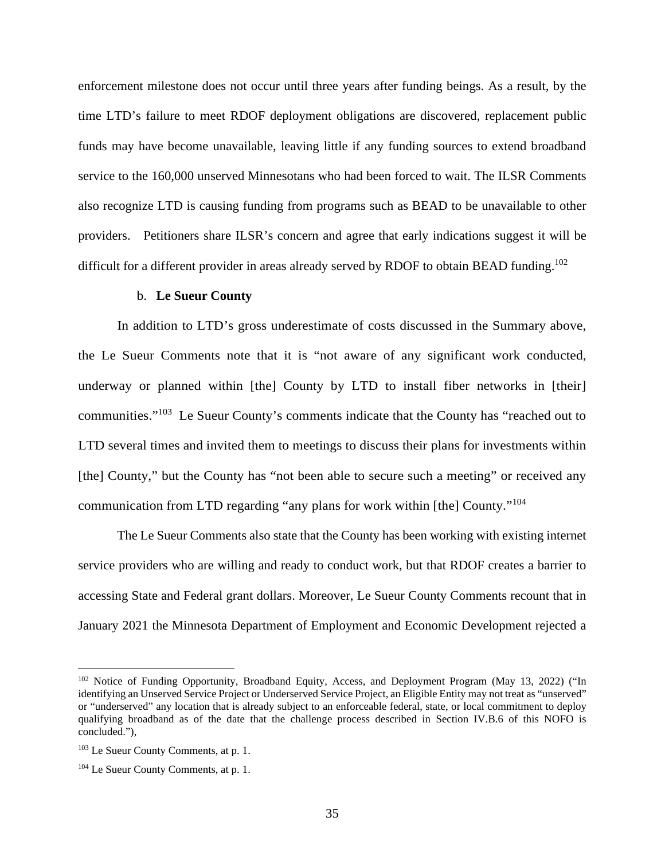enforcement milestone does not occur until three years after funding beings. As a result, by the time LTD's failure to meet RDOF deployment obligations are discovered, replacement public funds may have become unavailable, leaving little if any funding sources to extend broadband service to the 160,000 unserved Minnesotans who had been forced to wait. The ILSR Comments also recognize LTD is causing funding from programs such as BEAD to be unavailable to other providers. Petitioners share ILSR's concern and agree that early indications suggest it will be difficult for a different provider in areas already served by RDOF to obtain BEAD funding.<sup>102</sup>

#### b. **Le Sueur County**

In addition to LTD's gross underestimate of costs discussed in the Summary above, the Le Sueur Comments note that it is "not aware of any significant work conducted, underway or planned within [the] County by LTD to install fiber networks in [their] communities."<sup>103</sup> Le Sueur County's comments indicate that the County has "reached out to LTD several times and invited them to meetings to discuss their plans for investments within [the] County," but the County has "not been able to secure such a meeting" or received any communication from LTD regarding "any plans for work within [the] County."<sup>104</sup>

The Le Sueur Comments also state that the County has been working with existing internet service providers who are willing and ready to conduct work, but that RDOF creates a barrier to accessing State and Federal grant dollars. Moreover, Le Sueur County Comments recount that in January 2021 the Minnesota Department of Employment and Economic Development rejected a

<sup>&</sup>lt;sup>102</sup> Notice of Funding Opportunity, Broadband Equity, Access, and Deployment Program (May 13, 2022) ("In identifying an Unserved Service Project or Underserved Service Project, an Eligible Entity may not treat as "unserved" or "underserved" any location that is already subject to an enforceable federal, state, or local commitment to deploy qualifying broadband as of the date that the challenge process described in Section IV.B.6 of this NOFO is concluded."),

<sup>103</sup> Le Sueur County Comments, at p. 1.

<sup>104</sup> Le Sueur County Comments, at p. 1.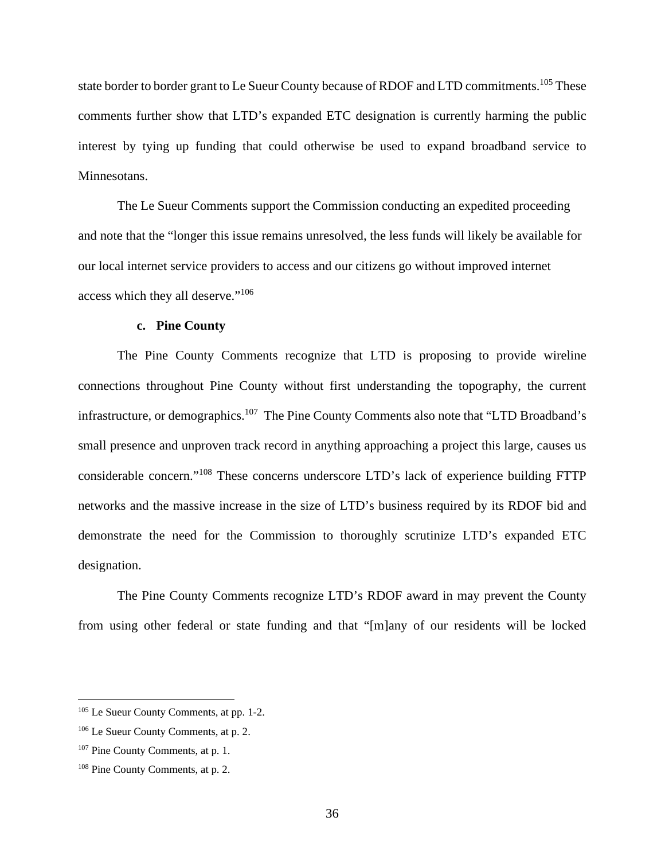state border to border grant to Le Sueur County because of RDOF and LTD commitments.<sup>105</sup> These comments further show that LTD's expanded ETC designation is currently harming the public interest by tying up funding that could otherwise be used to expand broadband service to Minnesotans.

The Le Sueur Comments support the Commission conducting an expedited proceeding and note that the "longer this issue remains unresolved, the less funds will likely be available for our local internet service providers to access and our citizens go without improved internet access which they all deserve."<sup>106</sup>

#### **c. Pine County**

The Pine County Comments recognize that LTD is proposing to provide wireline connections throughout Pine County without first understanding the topography, the current infrastructure, or demographics.<sup>107</sup> The Pine County Comments also note that "LTD Broadband's small presence and unproven track record in anything approaching a project this large, causes us considerable concern."<sup>108</sup> These concerns underscore LTD's lack of experience building FTTP networks and the massive increase in the size of LTD's business required by its RDOF bid and demonstrate the need for the Commission to thoroughly scrutinize LTD's expanded ETC designation.

The Pine County Comments recognize LTD's RDOF award in may prevent the County from using other federal or state funding and that "[m]any of our residents will be locked

<sup>105</sup> Le Sueur County Comments, at pp. 1-2.

<sup>106</sup> Le Sueur County Comments, at p. 2.

<sup>107</sup> Pine County Comments, at p. 1.

<sup>108</sup> Pine County Comments, at p. 2.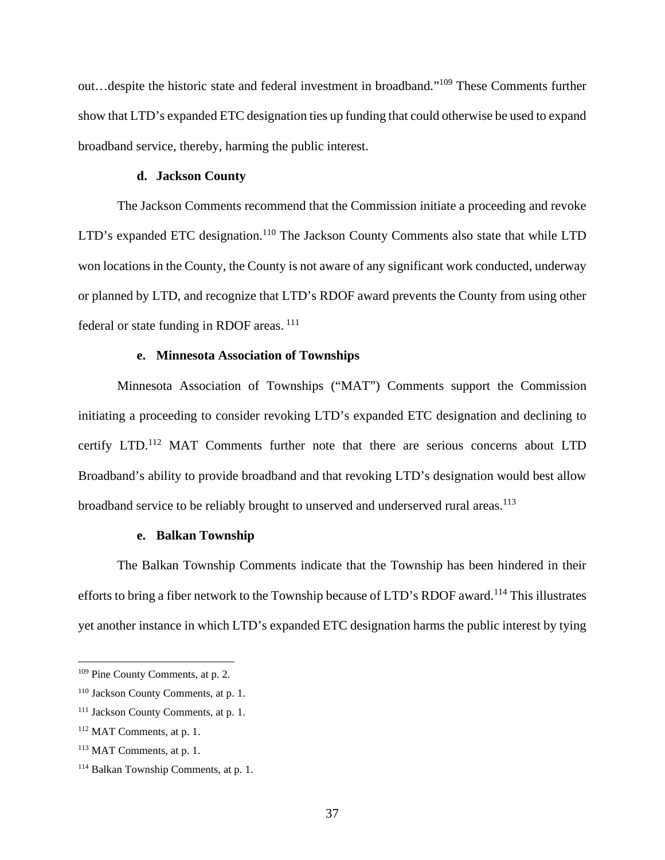out…despite the historic state and federal investment in broadband."<sup>109</sup> These Comments further show that LTD's expanded ETC designation ties up funding that could otherwise be used to expand broadband service, thereby, harming the public interest.

#### **d. Jackson County**

The Jackson Comments recommend that the Commission initiate a proceeding and revoke LTD's expanded ETC designation.<sup>110</sup> The Jackson County Comments also state that while LTD won locations in the County, the County is not aware of any significant work conducted, underway or planned by LTD, and recognize that LTD's RDOF award prevents the County from using other federal or state funding in RDOF areas.<sup>111</sup>

#### **e. Minnesota Association of Townships**

Minnesota Association of Townships ("MAT") Comments support the Commission initiating a proceeding to consider revoking LTD's expanded ETC designation and declining to certify LTD.<sup>112</sup> MAT Comments further note that there are serious concerns about LTD Broadband's ability to provide broadband and that revoking LTD's designation would best allow broadband service to be reliably brought to unserved and underserved rural areas.<sup>113</sup>

#### **e. Balkan Township**

The Balkan Township Comments indicate that the Township has been hindered in their efforts to bring a fiber network to the Township because of LTD's RDOF award.<sup>114</sup> This illustrates yet another instance in which LTD's expanded ETC designation harms the public interest by tying

<sup>109</sup> Pine County Comments, at p. 2.

<sup>110</sup> Jackson County Comments, at p. 1.

<sup>111</sup> Jackson County Comments, at p. 1.

<sup>112</sup> MAT Comments, at p. 1.

<sup>113</sup> MAT Comments, at p. 1.

<sup>114</sup> Balkan Township Comments, at p. 1.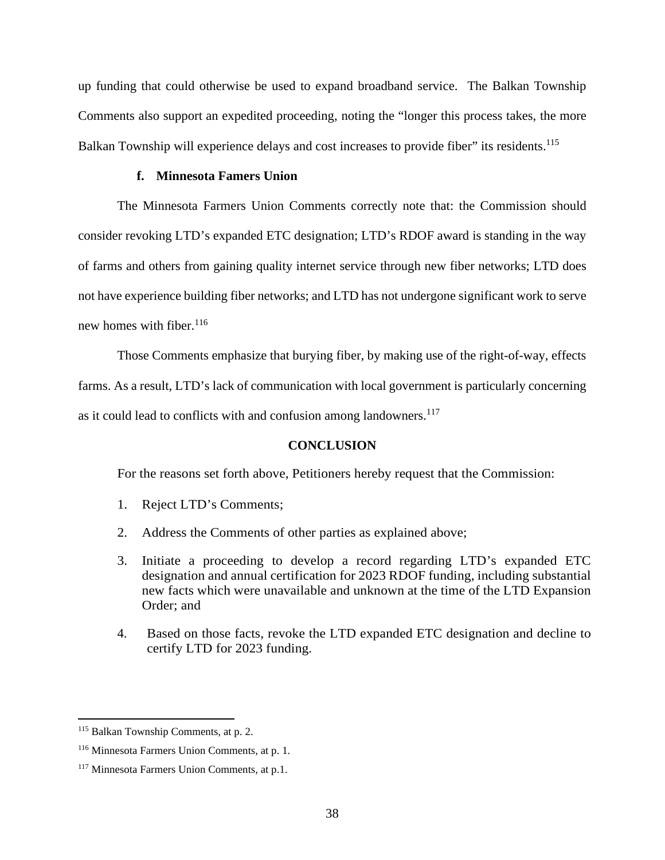up funding that could otherwise be used to expand broadband service. The Balkan Township Comments also support an expedited proceeding, noting the "longer this process takes, the more Balkan Township will experience delays and cost increases to provide fiber" its residents.<sup>115</sup>

#### **f. Minnesota Famers Union**

The Minnesota Farmers Union Comments correctly note that: the Commission should consider revoking LTD's expanded ETC designation; LTD's RDOF award is standing in the way of farms and others from gaining quality internet service through new fiber networks; LTD does not have experience building fiber networks; and LTD has not undergone significant work to serve new homes with fiber.  $116$ 

Those Comments emphasize that burying fiber, by making use of the right-of-way, effects farms. As a result, LTD's lack of communication with local government is particularly concerning as it could lead to conflicts with and confusion among landowners.<sup>117</sup>

#### **CONCLUSION**

For the reasons set forth above, Petitioners hereby request that the Commission:

- 1. Reject LTD's Comments;
- 2. Address the Comments of other parties as explained above;
- 3. Initiate a proceeding to develop a record regarding LTD's expanded ETC designation and annual certification for 2023 RDOF funding, including substantial new facts which were unavailable and unknown at the time of the LTD Expansion Order; and
- 4. Based on those facts, revoke the LTD expanded ETC designation and decline to certify LTD for 2023 funding.

<sup>115</sup> Balkan Township Comments, at p. 2.

<sup>116</sup> Minnesota Farmers Union Comments, at p. 1.

<sup>117</sup> Minnesota Farmers Union Comments, at p.1.